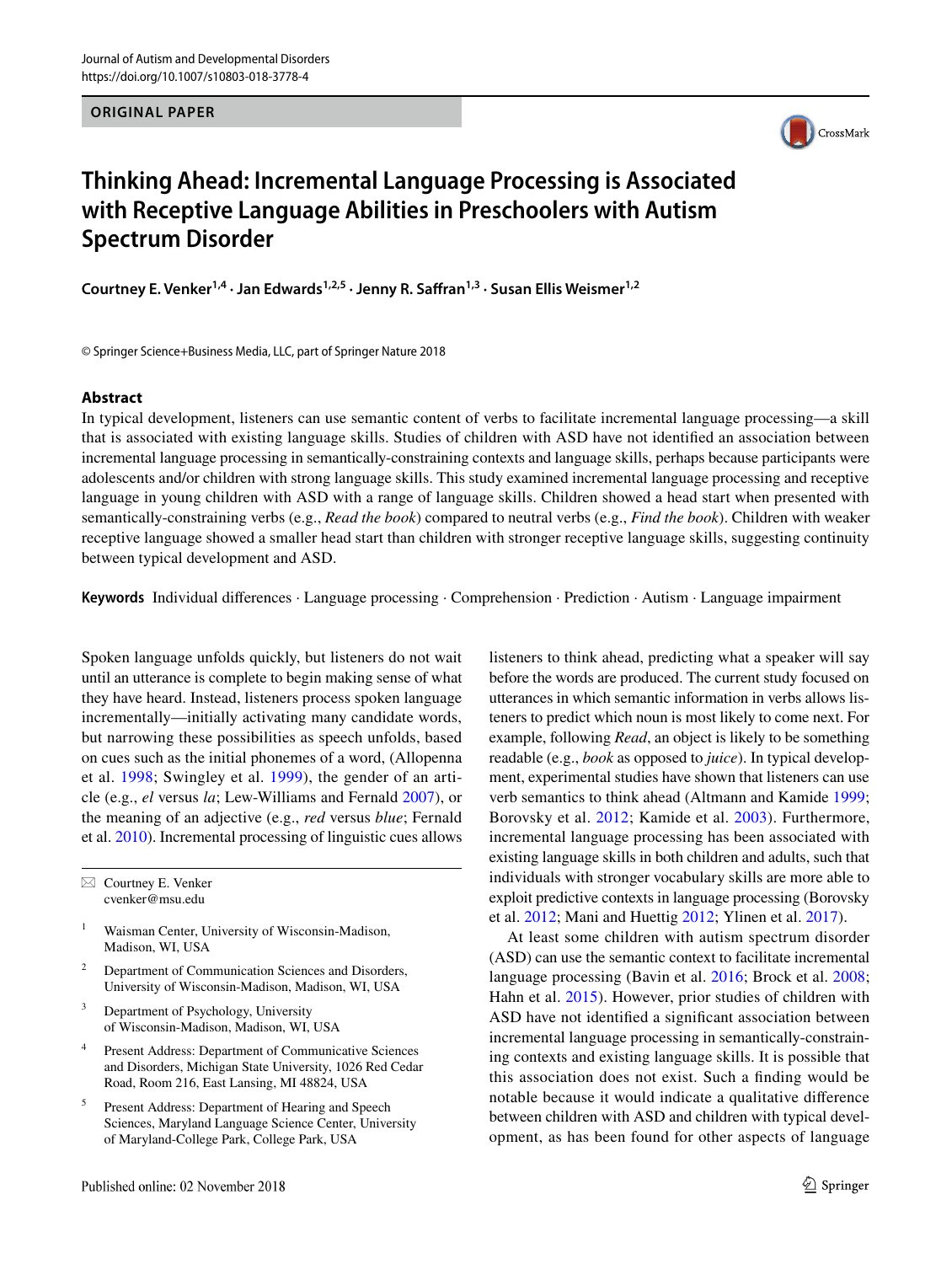**ORIGINAL PAPER**



# **Thinking Ahead: Incremental Language Processing is Associated with Receptive Language Abilities in Preschoolers with Autism Spectrum Disorder**

Courtney E. Venker<sup>1,4</sup> · Jan Edwards<sup>1,2,5</sup> · Jenny R. Saffran<sup>1,3</sup> · Susan Ellis Weismer<sup>1,2</sup>

© Springer Science+Business Media, LLC, part of Springer Nature 2018

#### **Abstract**

In typical development, listeners can use semantic content of verbs to facilitate incremental language processing—a skill that is associated with existing language skills. Studies of children with ASD have not identified an association between incremental language processing in semantically-constraining contexts and language skills, perhaps because participants were adolescents and/or children with strong language skills. This study examined incremental language processing and receptive language in young children with ASD with a range of language skills. Children showed a head start when presented with semantically-constraining verbs (e.g., *Read the book*) compared to neutral verbs (e.g., *Find the book*). Children with weaker receptive language showed a smaller head start than children with stronger receptive language skills, suggesting continuity between typical development and ASD.

**Keywords** Individual differences · Language processing · Comprehension · Prediction · Autism · Language impairment

Spoken language unfolds quickly, but listeners do not wait until an utterance is complete to begin making sense of what they have heard. Instead, listeners process spoken language incrementally—initially activating many candidate words, but narrowing these possibilities as speech unfolds, based on cues such as the initial phonemes of a word, (Allopenna et al. [1998](#page-10-0); Swingley et al. [1999\)](#page-11-0), the gender of an article (e.g., *el* versus *la*; Lew-Williams and Fernald [2007](#page-11-1)), or the meaning of an adjective (e.g., *red* versus *blue*; Fernald et al. [2010](#page-11-2)). Incremental processing of linguistic cues allows

 $\boxtimes$  Courtney E. Venker cvenker@msu.edu

<sup>1</sup> Waisman Center, University of Wisconsin-Madison, Madison, WI, USA

- <sup>2</sup> Department of Communication Sciences and Disorders, University of Wisconsin-Madison, Madison, WI, USA
- <sup>3</sup> Department of Psychology, University of Wisconsin-Madison, Madison, WI, USA
- <sup>4</sup> Present Address: Department of Communicative Sciences and Disorders, Michigan State University, 1026 Red Cedar Road, Room 216, East Lansing, MI 48824, USA
- <sup>5</sup> Present Address: Department of Hearing and Speech Sciences, Maryland Language Science Center, University of Maryland-College Park, College Park, USA

listeners to think ahead, predicting what a speaker will say before the words are produced. The current study focused on utterances in which semantic information in verbs allows listeners to predict which noun is most likely to come next. For example, following *Read*, an object is likely to be something readable (e.g., *book* as opposed to *juice*). In typical development, experimental studies have shown that listeners can use verb semantics to think ahead (Altmann and Kamide [1999](#page-10-1); Borovsky et al. [2012;](#page-10-2) Kamide et al. [2003](#page-11-3)). Furthermore, incremental language processing has been associated with existing language skills in both children and adults, such that individuals with stronger vocabulary skills are more able to exploit predictive contexts in language processing (Borovsky et al. [2012](#page-10-2); Mani and Huettig [2012](#page-11-4); Ylinen et al. [2017\)](#page-12-0).

At least some children with autism spectrum disorder (ASD) can use the semantic context to facilitate incremental language processing (Bavin et al. [2016](#page-10-3); Brock et al. [2008](#page-10-4); Hahn et al. [2015](#page-11-5)). However, prior studies of children with ASD have not identified a significant association between incremental language processing in semantically-constraining contexts and existing language skills. It is possible that this association does not exist. Such a finding would be notable because it would indicate a qualitative difference between children with ASD and children with typical development, as has been found for other aspects of language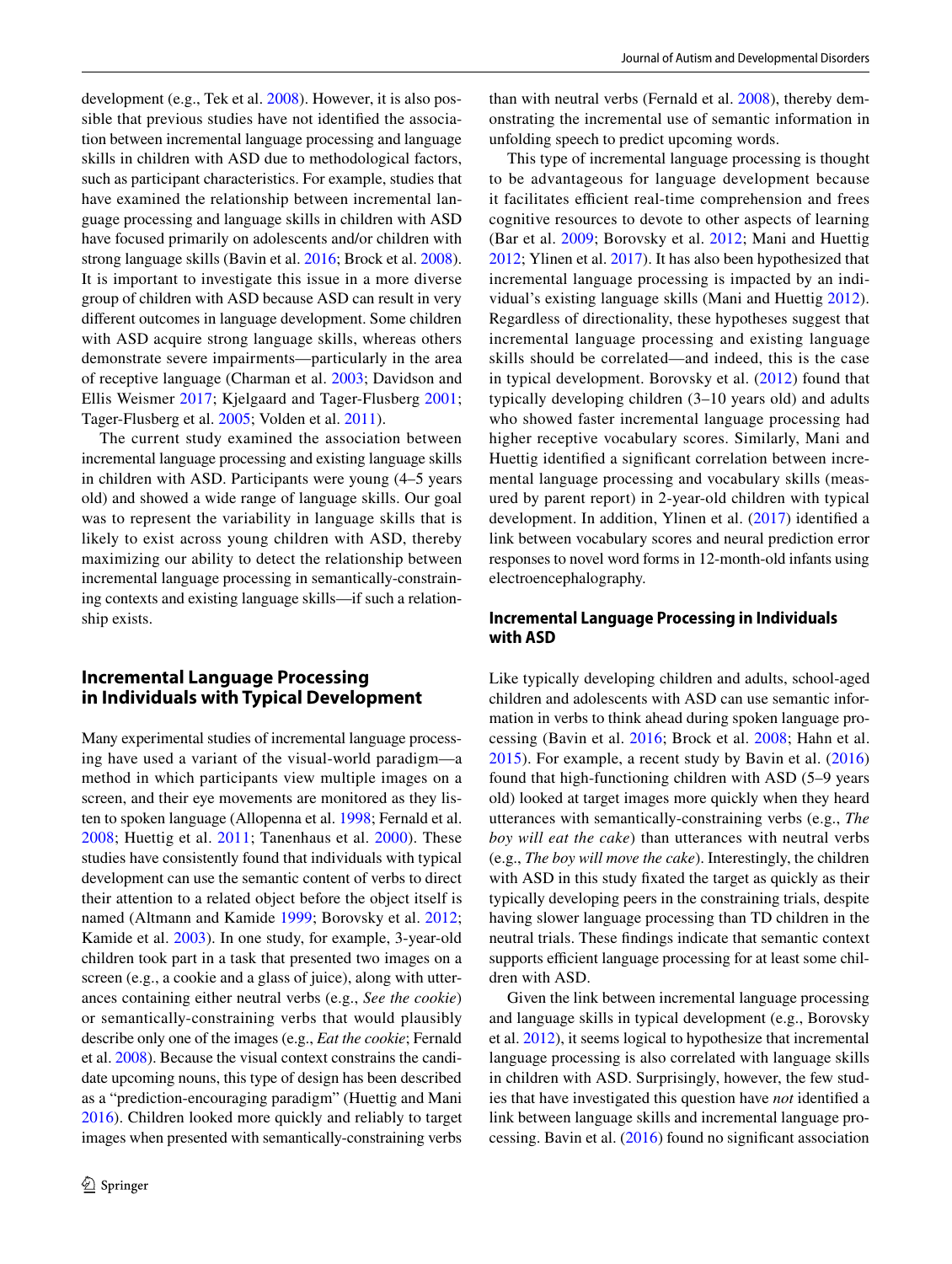development (e.g., Tek et al. [2008](#page-11-6)). However, it is also possible that previous studies have not identified the association between incremental language processing and language skills in children with ASD due to methodological factors, such as participant characteristics. For example, studies that have examined the relationship between incremental language processing and language skills in children with ASD have focused primarily on adolescents and/or children with strong language skills (Bavin et al. [2016](#page-10-3); Brock et al. [2008](#page-10-4)). It is important to investigate this issue in a more diverse group of children with ASD because ASD can result in very different outcomes in language development. Some children with ASD acquire strong language skills, whereas others demonstrate severe impairments—particularly in the area of receptive language (Charman et al. [2003;](#page-10-5) Davidson and Ellis Weismer [2017](#page-10-6); Kjelgaard and Tager-Flusberg [2001](#page-11-7); Tager-Flusberg et al. [2005;](#page-11-8) Volden et al. [2011\)](#page-12-1).

The current study examined the association between incremental language processing and existing language skills in children with ASD. Participants were young (4–5 years old) and showed a wide range of language skills. Our goal was to represent the variability in language skills that is likely to exist across young children with ASD, thereby maximizing our ability to detect the relationship between incremental language processing in semantically-constraining contexts and existing language skills—if such a relationship exists.

# **Incremental Language Processing in Individuals with Typical Development**

Many experimental studies of incremental language processing have used a variant of the visual-world paradigm—a method in which participants view multiple images on a screen, and their eye movements are monitored as they listen to spoken language (Allopenna et al. [1998](#page-10-0); Fernald et al. [2008;](#page-11-9) Huettig et al. [2011;](#page-11-10) Tanenhaus et al. [2000](#page-11-11)). These studies have consistently found that individuals with typical development can use the semantic content of verbs to direct their attention to a related object before the object itself is named (Altmann and Kamide [1999;](#page-10-1) Borovsky et al. [2012](#page-10-2); Kamide et al. [2003](#page-11-3)). In one study, for example, 3-year-old children took part in a task that presented two images on a screen (e.g., a cookie and a glass of juice), along with utterances containing either neutral verbs (e.g., *See the cookie*) or semantically-constraining verbs that would plausibly describe only one of the images (e.g., *Eat the cookie*; Fernald et al. [2008](#page-11-9)). Because the visual context constrains the candidate upcoming nouns, this type of design has been described as a "prediction-encouraging paradigm" (Huettig and Mani [2016](#page-11-12)). Children looked more quickly and reliably to target images when presented with semantically-constraining verbs than with neutral verbs (Fernald et al. [2008](#page-11-9)), thereby demonstrating the incremental use of semantic information in unfolding speech to predict upcoming words.

This type of incremental language processing is thought to be advantageous for language development because it facilitates efficient real-time comprehension and frees cognitive resources to devote to other aspects of learning (Bar et al. [2009;](#page-10-7) Borovsky et al. [2012;](#page-10-2) Mani and Huettig [2012](#page-11-4); Ylinen et al. [2017](#page-12-0)). It has also been hypothesized that incremental language processing is impacted by an individual's existing language skills (Mani and Huettig [2012](#page-11-4)). Regardless of directionality, these hypotheses suggest that incremental language processing and existing language skills should be correlated—and indeed, this is the case in typical development. Borovsky et al. [\(2012\)](#page-10-2) found that typically developing children (3–10 years old) and adults who showed faster incremental language processing had higher receptive vocabulary scores. Similarly, Mani and Huettig identified a significant correlation between incremental language processing and vocabulary skills (measured by parent report) in 2-year-old children with typical development. In addition, Ylinen et al. ([2017\)](#page-12-0) identified a link between vocabulary scores and neural prediction error responses to novel word forms in 12-month-old infants using electroencephalography.

# **Incremental Language Processing in Individuals with ASD**

Like typically developing children and adults, school-aged children and adolescents with ASD can use semantic information in verbs to think ahead during spoken language processing (Bavin et al. [2016;](#page-10-3) Brock et al. [2008;](#page-10-4) Hahn et al. [2015\)](#page-11-5). For example, a recent study by Bavin et al. [\(2016\)](#page-10-3) found that high-functioning children with ASD (5–9 years old) looked at target images more quickly when they heard utterances with semantically-constraining verbs (e.g., *The boy will eat the cake*) than utterances with neutral verbs (e.g., *The boy will move the cake*). Interestingly, the children with ASD in this study fixated the target as quickly as their typically developing peers in the constraining trials, despite having slower language processing than TD children in the neutral trials. These findings indicate that semantic context supports efficient language processing for at least some children with ASD.

Given the link between incremental language processing and language skills in typical development (e.g., Borovsky et al. [2012\)](#page-10-2), it seems logical to hypothesize that incremental language processing is also correlated with language skills in children with ASD. Surprisingly, however, the few studies that have investigated this question have *not* identified a link between language skills and incremental language processing. Bavin et al. ([2016\)](#page-10-3) found no significant association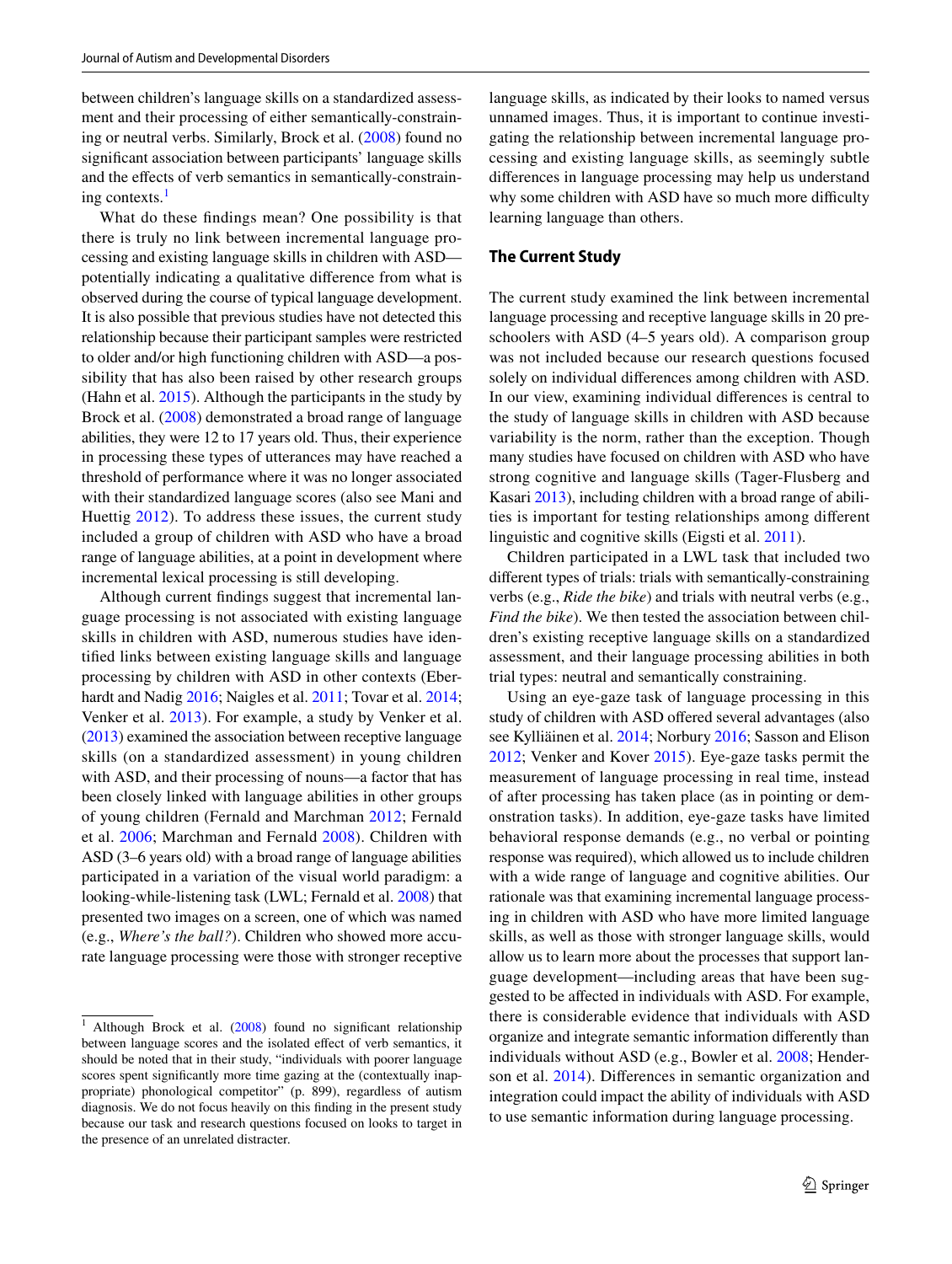between children's language skills on a standardized assessment and their processing of either semantically-constraining or neutral verbs. Similarly, Brock et al. ([2008\)](#page-10-4) found no significant association between participants' language skills and the effects of verb semantics in semantically-constrain-ing contexts.<sup>[1](#page-2-0)</sup>

What do these findings mean? One possibility is that there is truly no link between incremental language processing and existing language skills in children with ASD potentially indicating a qualitative difference from what is observed during the course of typical language development. It is also possible that previous studies have not detected this relationship because their participant samples were restricted to older and/or high functioning children with ASD—a possibility that has also been raised by other research groups (Hahn et al. [2015](#page-11-5)). Although the participants in the study by Brock et al. ([2008](#page-10-4)) demonstrated a broad range of language abilities, they were 12 to 17 years old. Thus, their experience in processing these types of utterances may have reached a threshold of performance where it was no longer associated with their standardized language scores (also see Mani and Huettig [2012\)](#page-11-4). To address these issues, the current study included a group of children with ASD who have a broad range of language abilities, at a point in development where incremental lexical processing is still developing.

Although current findings suggest that incremental language processing is not associated with existing language skills in children with ASD, numerous studies have identified links between existing language skills and language processing by children with ASD in other contexts (Eberhardt and Nadig [2016;](#page-10-8) Naigles et al. [2011](#page-11-13); Tovar et al. [2014](#page-11-14); Venker et al. [2013](#page-12-2)). For example, a study by Venker et al. [\(2013](#page-12-2)) examined the association between receptive language skills (on a standardized assessment) in young children with ASD, and their processing of nouns—a factor that has been closely linked with language abilities in other groups of young children (Fernald and Marchman [2012;](#page-10-9) Fernald et al. [2006](#page-10-10); Marchman and Fernald [2008](#page-11-15)). Children with ASD (3–6 years old) with a broad range of language abilities participated in a variation of the visual world paradigm: a looking-while-listening task (LWL; Fernald et al. [2008\)](#page-11-9) that presented two images on a screen, one of which was named (e.g., *Where's the ball?*). Children who showed more accurate language processing were those with stronger receptive language skills, as indicated by their looks to named versus unnamed images. Thus, it is important to continue investigating the relationship between incremental language processing and existing language skills, as seemingly subtle differences in language processing may help us understand why some children with ASD have so much more difficulty learning language than others.

#### **The Current Study**

The current study examined the link between incremental language processing and receptive language skills in 20 preschoolers with ASD (4–5 years old). A comparison group was not included because our research questions focused solely on individual differences among children with ASD. In our view, examining individual differences is central to the study of language skills in children with ASD because variability is the norm, rather than the exception. Though many studies have focused on children with ASD who have strong cognitive and language skills (Tager-Flusberg and Kasari [2013](#page-11-16)), including children with a broad range of abilities is important for testing relationships among different linguistic and cognitive skills (Eigsti et al. [2011](#page-10-11)).

Children participated in a LWL task that included two different types of trials: trials with semantically-constraining verbs (e.g., *Ride the bike*) and trials with neutral verbs (e.g., *Find the bike*). We then tested the association between children's existing receptive language skills on a standardized assessment, and their language processing abilities in both trial types: neutral and semantically constraining.

Using an eye-gaze task of language processing in this study of children with ASD offered several advantages (also see Kylliäinen et al. [2014](#page-11-17); Norbury [2016](#page-11-18); Sasson and Elison [2012](#page-11-19); Venker and Kover [2015\)](#page-12-3). Eye-gaze tasks permit the measurement of language processing in real time, instead of after processing has taken place (as in pointing or demonstration tasks). In addition, eye-gaze tasks have limited behavioral response demands (e.g., no verbal or pointing response was required), which allowed us to include children with a wide range of language and cognitive abilities. Our rationale was that examining incremental language processing in children with ASD who have more limited language skills, as well as those with stronger language skills, would allow us to learn more about the processes that support language development—including areas that have been suggested to be affected in individuals with ASD. For example, there is considerable evidence that individuals with ASD organize and integrate semantic information differently than individuals without ASD (e.g., Bowler et al. [2008](#page-10-12); Henderson et al. [2014\)](#page-11-20). Differences in semantic organization and integration could impact the ability of individuals with ASD to use semantic information during language processing.

<span id="page-2-0"></span><sup>&</sup>lt;sup>1</sup> Although Brock et al.  $(2008)$  $(2008)$  found no significant relationship between language scores and the isolated effect of verb semantics, it should be noted that in their study, "individuals with poorer language scores spent significantly more time gazing at the (contextually inappropriate) phonological competitor" (p. 899), regardless of autism diagnosis. We do not focus heavily on this finding in the present study because our task and research questions focused on looks to target in the presence of an unrelated distracter.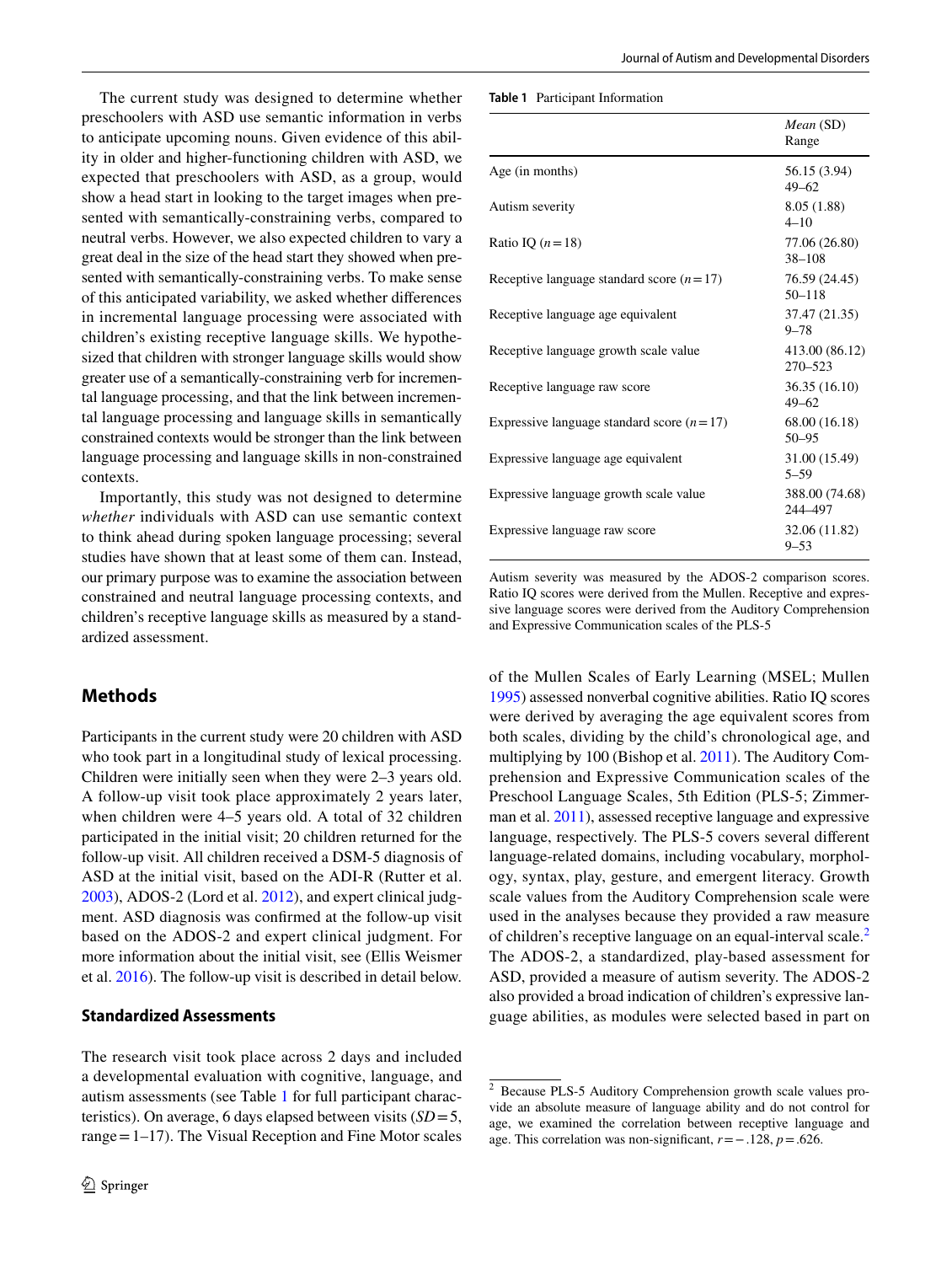The current study was designed to determine whether preschoolers with ASD use semantic information in verbs to anticipate upcoming nouns. Given evidence of this ability in older and higher-functioning children with ASD, we expected that preschoolers with ASD, as a group, would show a head start in looking to the target images when presented with semantically-constraining verbs, compared to neutral verbs. However, we also expected children to vary a great deal in the size of the head start they showed when presented with semantically-constraining verbs. To make sense of this anticipated variability, we asked whether differences in incremental language processing were associated with children's existing receptive language skills. We hypothesized that children with stronger language skills would show greater use of a semantically-constraining verb for incremental language processing, and that the link between incremental language processing and language skills in semantically constrained contexts would be stronger than the link between language processing and language skills in non-constrained contexts.

Importantly, this study was not designed to determine *whether* individuals with ASD can use semantic context to think ahead during spoken language processing; several studies have shown that at least some of them can. Instead, our primary purpose was to examine the association between constrained and neutral language processing contexts, and children's receptive language skills as measured by a standardized assessment.

# **Methods**

Participants in the current study were 20 children with ASD who took part in a longitudinal study of lexical processing. Children were initially seen when they were 2–3 years old. A follow-up visit took place approximately 2 years later, when children were 4–5 years old. A total of 32 children participated in the initial visit; 20 children returned for the follow-up visit. All children received a DSM-5 diagnosis of ASD at the initial visit, based on the ADI-R (Rutter et al. [2003](#page-11-21)), ADOS-2 (Lord et al. [2012\)](#page-11-22), and expert clinical judgment. ASD diagnosis was confirmed at the follow-up visit based on the ADOS-2 and expert clinical judgment. For more information about the initial visit, see (Ellis Weismer et al. [2016](#page-10-13)). The follow-up visit is described in detail below.

## **Standardized Assessments**

#### <span id="page-3-0"></span>**Table 1** Participant Information

|                                             | Mean (SD)                     |
|---------------------------------------------|-------------------------------|
|                                             | Range                         |
| Age (in months)                             | 56.15 (3.94)<br>$49 - 62$     |
| Autism severity                             | 8.05 (1.88)<br>$4 - 10$       |
| Ratio IQ $(n=18)$                           | 77.06 (26.80)<br>$38 - 108$   |
| Receptive language standard score $(n=17)$  | 76.59 (24.45)<br>$50 - 118$   |
| Receptive language age equivalent           | 37.47 (21.35)<br>$9 - 78$     |
| Receptive language growth scale value       | 413.00 (86.12)<br>$270 - 523$ |
| Receptive language raw score                | 36.35 (16.10)<br>$49 - 62$    |
| Expressive language standard score $(n=17)$ | 68.00 (16.18)<br>$50 - 95$    |
| Expressive language age equivalent          | 31.00 (15.49)<br>$5 - 59$     |
| Expressive language growth scale value      | 388.00 (74.68)<br>244-497     |
| Expressive language raw score               | 32.06 (11.82)<br>$9 - 53$     |

Autism severity was measured by the ADOS-2 comparison scores. Ratio IQ scores were derived from the Mullen. Receptive and expressive language scores were derived from the Auditory Comprehension and Expressive Communication scales of the PLS-5

of the Mullen Scales of Early Learning (MSEL; Mullen [1995](#page-11-23)) assessed nonverbal cognitive abilities. Ratio IQ scores were derived by averaging the age equivalent scores from both scales, dividing by the child's chronological age, and multiplying by 100 (Bishop et al. [2011\)](#page-11-23). The Auditory Comprehension and Expressive Communication scales of the Preschool Language Scales, 5th Edition (PLS-5; Zimmerman et al. [2011](#page-12-4)), assessed receptive language and expressive language, respectively. The PLS-5 covers several different language-related domains, including vocabulary, morphology, syntax, play, gesture, and emergent literacy. Growth scale values from the Auditory Comprehension scale were used in the analyses because they provided a raw measure of children's receptive language on an equal-interval scale.<sup>[2](#page-3-1)</sup> The ADOS-2, a standardized, play-based assessment for ASD, provided a measure of autism severity. The ADOS-2 also provided a broad indication of children's expressive language abilities, as modules were selected based in part on

<span id="page-3-1"></span><sup>2</sup> Because PLS-5 Auditory Comprehension growth scale values provide an absolute measure of language ability and do not control for age, we examined the correlation between receptive language and age. This correlation was non-significant, *r*=−.128, *p*=.626.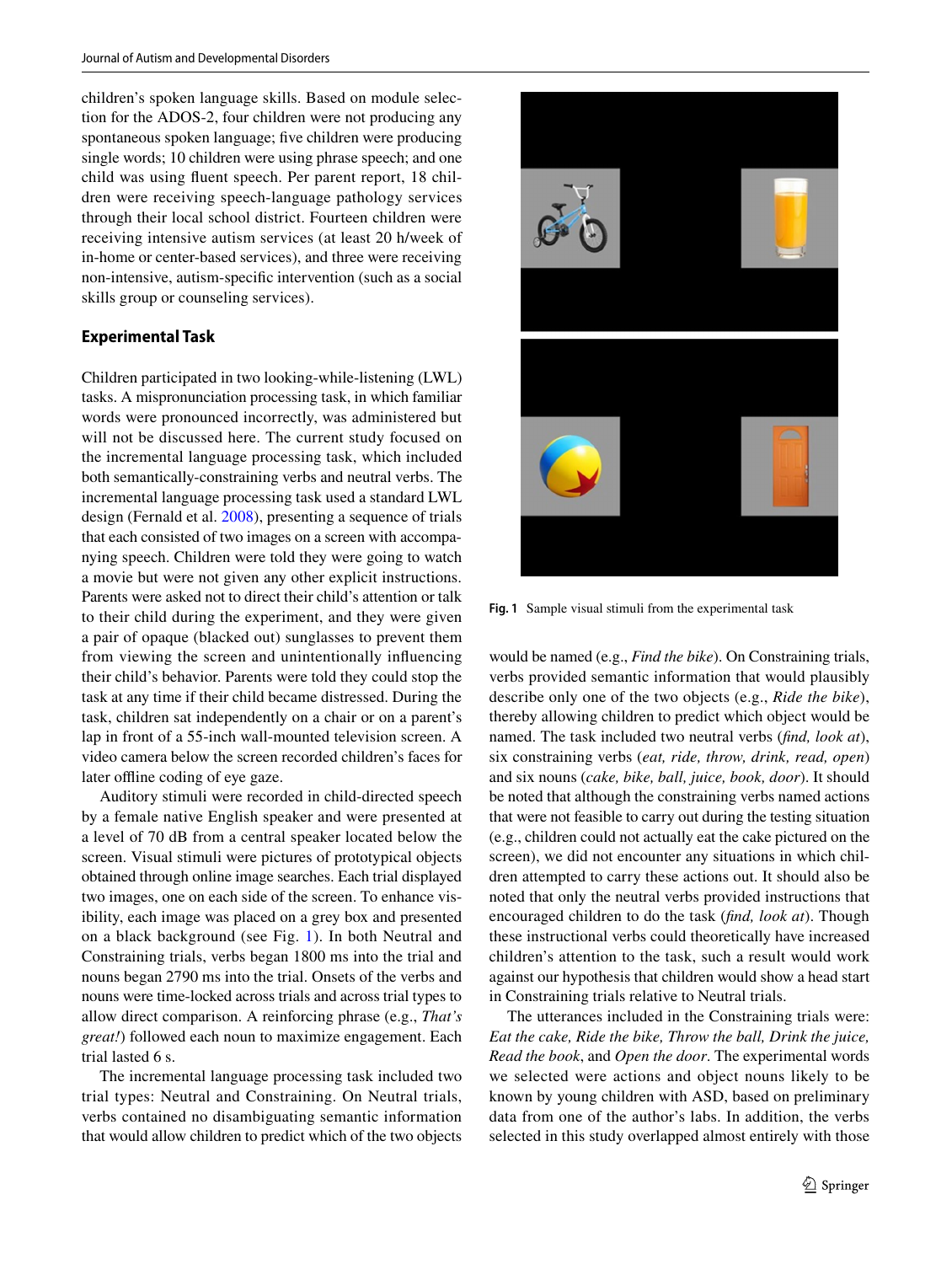children's spoken language skills. Based on module selection for the ADOS-2, four children were not producing any spontaneous spoken language; five children were producing single words; 10 children were using phrase speech; and one child was using fluent speech. Per parent report, 18 children were receiving speech-language pathology services through their local school district. Fourteen children were receiving intensive autism services (at least 20 h/week of in-home or center-based services), and three were receiving non-intensive, autism-specific intervention (such as a social skills group or counseling services).

#### **Experimental Task**

Children participated in two looking-while-listening (LWL) tasks. A mispronunciation processing task, in which familiar words were pronounced incorrectly, was administered but will not be discussed here. The current study focused on the incremental language processing task, which included both semantically-constraining verbs and neutral verbs. The incremental language processing task used a standard LWL design (Fernald et al. [2008\)](#page-11-9), presenting a sequence of trials that each consisted of two images on a screen with accompanying speech. Children were told they were going to watch a movie but were not given any other explicit instructions. Parents were asked not to direct their child's attention or talk to their child during the experiment, and they were given a pair of opaque (blacked out) sunglasses to prevent them from viewing the screen and unintentionally influencing their child's behavior. Parents were told they could stop the task at any time if their child became distressed. During the task, children sat independently on a chair or on a parent's lap in front of a 55-inch wall-mounted television screen. A video camera below the screen recorded children's faces for later offline coding of eye gaze.

Auditory stimuli were recorded in child-directed speech by a female native English speaker and were presented at a level of 70 dB from a central speaker located below the screen. Visual stimuli were pictures of prototypical objects obtained through online image searches. Each trial displayed two images, one on each side of the screen. To enhance visibility, each image was placed on a grey box and presented on a black background (see Fig. [1](#page-4-0)). In both Neutral and Constraining trials, verbs began 1800 ms into the trial and nouns began 2790 ms into the trial. Onsets of the verbs and nouns were time-locked across trials and across trial types to allow direct comparison. A reinforcing phrase (e.g., *That's great!*) followed each noun to maximize engagement. Each trial lasted 6 s.

The incremental language processing task included two trial types: Neutral and Constraining. On Neutral trials, verbs contained no disambiguating semantic information that would allow children to predict which of the two objects



<span id="page-4-0"></span>**Fig. 1** Sample visual stimuli from the experimental task

would be named (e.g., *Find the bike*). On Constraining trials, verbs provided semantic information that would plausibly describe only one of the two objects (e.g., *Ride the bike*), thereby allowing children to predict which object would be named. The task included two neutral verbs (*find, look at*), six constraining verbs (*eat, ride, throw, drink, read, open*) and six nouns (*cake, bike, ball, juice, book, door*). It should be noted that although the constraining verbs named actions that were not feasible to carry out during the testing situation (e.g., children could not actually eat the cake pictured on the screen), we did not encounter any situations in which children attempted to carry these actions out. It should also be noted that only the neutral verbs provided instructions that encouraged children to do the task (*find, look at*). Though these instructional verbs could theoretically have increased children's attention to the task, such a result would work against our hypothesis that children would show a head start in Constraining trials relative to Neutral trials.

The utterances included in the Constraining trials were: *Eat the cake, Ride the bike, Throw the ball, Drink the juice, Read the book*, and *Open the door*. The experimental words we selected were actions and object nouns likely to be known by young children with ASD, based on preliminary data from one of the author's labs. In addition, the verbs selected in this study overlapped almost entirely with those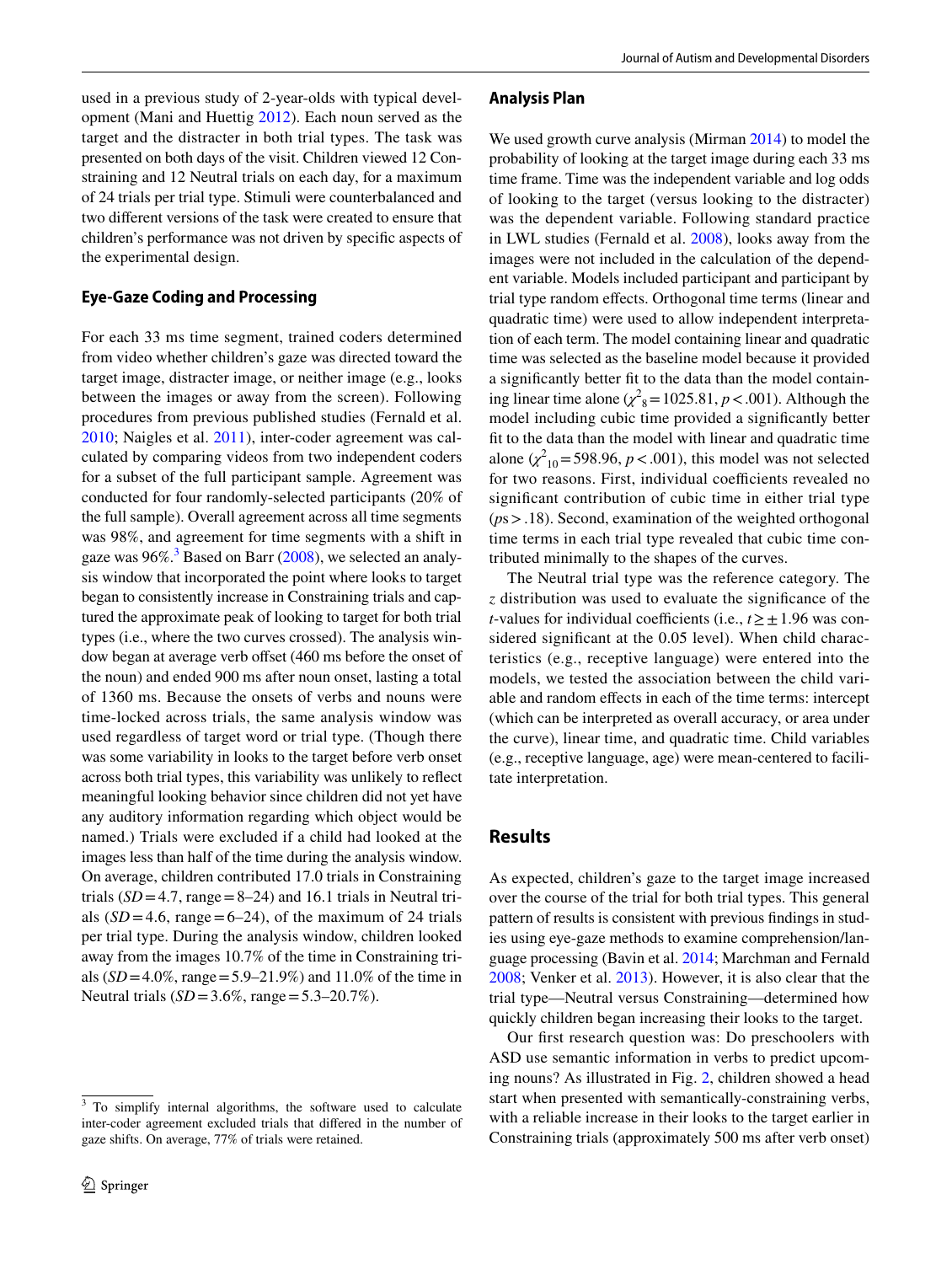used in a previous study of 2-year-olds with typical development (Mani and Huettig [2012](#page-11-4)). Each noun served as the target and the distracter in both trial types. The task was presented on both days of the visit. Children viewed 12 Constraining and 12 Neutral trials on each day, for a maximum of 24 trials per trial type. Stimuli were counterbalanced and two different versions of the task were created to ensure that children's performance was not driven by specific aspects of the experimental design.

#### **Eye‑Gaze Coding and Processing**

For each 33 ms time segment, trained coders determined from video whether children's gaze was directed toward the target image, distracter image, or neither image (e.g., looks between the images or away from the screen). Following procedures from previous published studies (Fernald et al. [2010](#page-11-2); Naigles et al. [2011](#page-11-13)), inter-coder agreement was calculated by comparing videos from two independent coders for a subset of the full participant sample. Agreement was conducted for four randomly-selected participants (20% of the full sample). Overall agreement across all time segments was 98%, and agreement for time segments with a shift in gaze was 96%.<sup>[3](#page-5-0)</sup> Based on Barr ([2008\)](#page-10-14), we selected an analysis window that incorporated the point where looks to target began to consistently increase in Constraining trials and captured the approximate peak of looking to target for both trial types (i.e., where the two curves crossed). The analysis window began at average verb offset (460 ms before the onset of the noun) and ended 900 ms after noun onset, lasting a total of 1360 ms. Because the onsets of verbs and nouns were time-locked across trials, the same analysis window was used regardless of target word or trial type. (Though there was some variability in looks to the target before verb onset across both trial types, this variability was unlikely to reflect meaningful looking behavior since children did not yet have any auditory information regarding which object would be named.) Trials were excluded if a child had looked at the images less than half of the time during the analysis window. On average, children contributed 17.0 trials in Constraining trials  $(SD=4.7, \text{range}=8-24)$  and 16.1 trials in Neutral trials  $(SD=4.6$ , range  $=6-24$ ), of the maximum of 24 trials per trial type. During the analysis window, children looked away from the images 10.7% of the time in Constraining trials (*SD*=4.0%, range=5.9–21.9%) and 11.0% of the time in Neutral trials (*SD*=3.6%, range=5.3–20.7%).

#### **Analysis Plan**

We used growth curve analysis (Mirman [2014](#page-11-24)) to model the probability of looking at the target image during each 33 ms time frame. Time was the independent variable and log odds of looking to the target (versus looking to the distracter) was the dependent variable. Following standard practice in LWL studies (Fernald et al. [2008](#page-11-9)), looks away from the images were not included in the calculation of the dependent variable. Models included participant and participant by trial type random effects. Orthogonal time terms (linear and quadratic time) were used to allow independent interpretation of each term. The model containing linear and quadratic time was selected as the baseline model because it provided a significantly better fit to the data than the model containing linear time alone  $(\chi^2_{8} = 1025.81, p < .001)$ . Although the model including cubic time provided a significantly better fit to the data than the model with linear and quadratic time alone  $(\chi^2_{10} = 598.96, p < .001)$ , this model was not selected for two reasons. First, individual coefficients revealed no significant contribution of cubic time in either trial type (*p*s>.18). Second, examination of the weighted orthogonal time terms in each trial type revealed that cubic time contributed minimally to the shapes of the curves.

The Neutral trial type was the reference category. The *z* distribution was used to evaluate the significance of the *t*-values for individual coefficients (i.e., *t*≥±1.96 was considered significant at the 0.05 level). When child characteristics (e.g., receptive language) were entered into the models, we tested the association between the child variable and random effects in each of the time terms: intercept (which can be interpreted as overall accuracy, or area under the curve), linear time, and quadratic time. Child variables (e.g., receptive language, age) were mean-centered to facilitate interpretation.

## **Results**

As expected, children's gaze to the target image increased over the course of the trial for both trial types. This general pattern of results is consistent with previous findings in studies using eye-gaze methods to examine comprehension/language processing (Bavin et al. [2014;](#page-10-15) Marchman and Fernald [2008](#page-11-15); Venker et al. [2013\)](#page-12-2). However, it is also clear that the trial type—Neutral versus Constraining—determined how quickly children began increasing their looks to the target.

Our first research question was: Do preschoolers with ASD use semantic information in verbs to predict upcoming nouns? As illustrated in Fig. [2](#page-6-0), children showed a head start when presented with semantically-constraining verbs, with a reliable increase in their looks to the target earlier in Constraining trials (approximately 500 ms after verb onset)

<span id="page-5-0"></span><sup>&</sup>lt;sup>3</sup> To simplify internal algorithms, the software used to calculate inter-coder agreement excluded trials that differed in the number of gaze shifts. On average, 77% of trials were retained.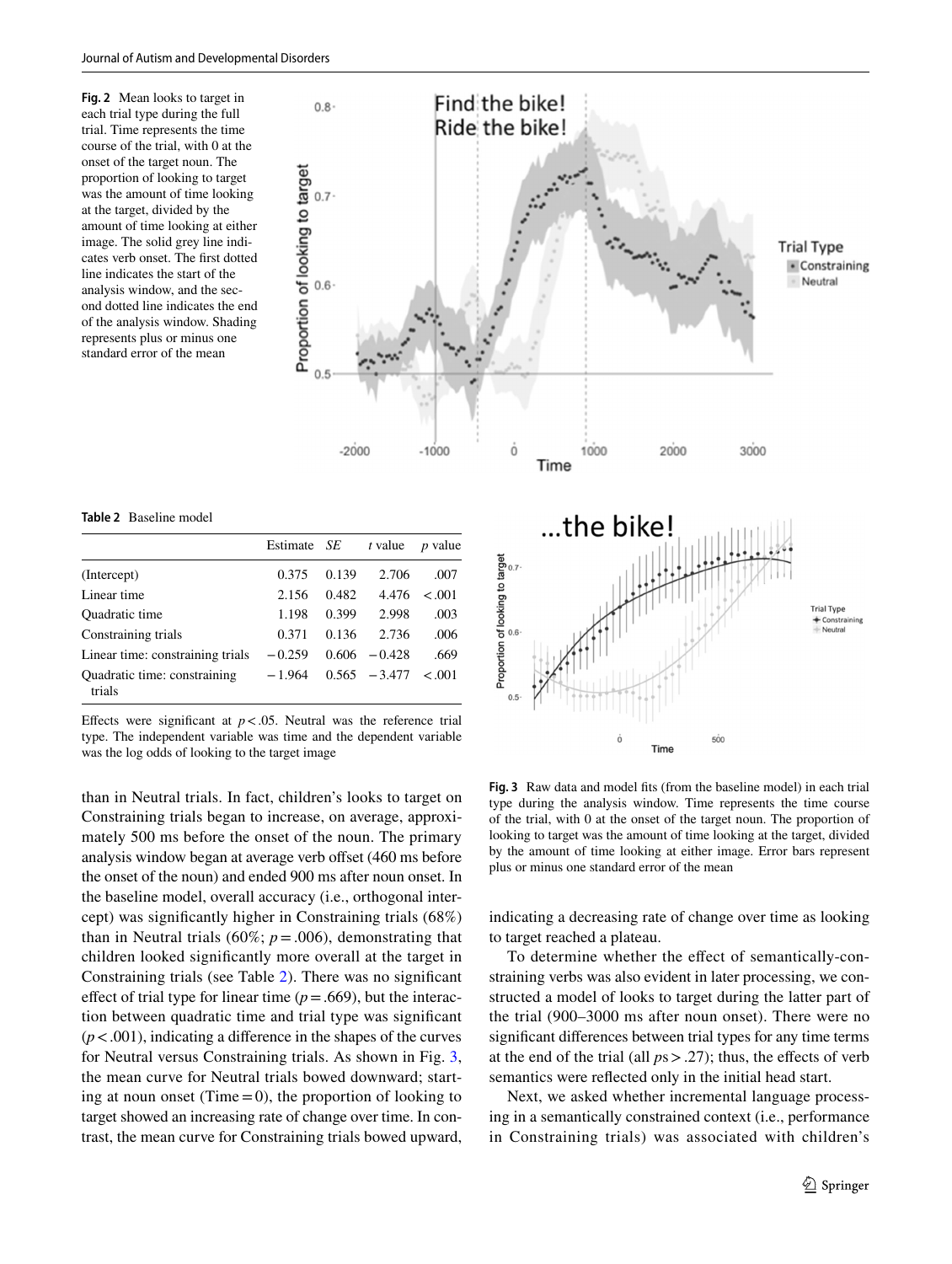<span id="page-6-0"></span>**Fig. 2** Mean looks to target in each trial type during the full trial. Time represents the time course of the trial, with 0 at the onset of the target noun. The proportion of looking to target was the amount of time looking at the target, divided by the amount of time looking at either image. The solid grey line indicates verb onset. The first dotted line indicates the start of the analysis window, and the second dotted line indicates the end of the analysis window. Shading represents plus or minus one standard error of the mean



 $0.5$ 

<span id="page-6-1"></span>**Table 2** Baseline model

|                                        | Estimate SE |       | t value         | <i>p</i> value |
|----------------------------------------|-------------|-------|-----------------|----------------|
| (Intercept)                            | 0.375       | 0.139 | 2.706           | .007           |
| Linear time                            | 2.156       | 0.482 | 4.476           | < 0.001        |
| <b>Ouadratic time</b>                  | 1.198       | 0.399 | 2.998           | .003           |
| Constraining trials                    | 0.371       | 0.136 | 2.736           | .006           |
| Linear time: constraining trials       | $-0.259$    |       | $0.606 - 0.428$ | .669           |
| Quadratic time: constraining<br>trials | $-1.964$    |       | $0.565 - 3.477$ | < 0.01         |

Effects were significant at  $p < .05$ . Neutral was the reference trial type. The independent variable was time and the dependent variable was the log odds of looking to the target image

than in Neutral trials. In fact, children's looks to target on Constraining trials began to increase, on average, approximately 500 ms before the onset of the noun. The primary analysis window began at average verb offset (460 ms before the onset of the noun) and ended 900 ms after noun onset. In the baseline model, overall accuracy (i.e., orthogonal intercept) was significantly higher in Constraining trials (68%) than in Neutral trials (60%;  $p = .006$ ), demonstrating that children looked significantly more overall at the target in Constraining trials (see Table [2\)](#page-6-1). There was no significant effect of trial type for linear time  $(p=.669)$ , but the interaction between quadratic time and trial type was significant  $(p < .001)$ , indicating a difference in the shapes of the curves for Neutral versus Constraining trials. As shown in Fig. [3,](#page-6-2) the mean curve for Neutral trials bowed downward; starting at noun onset (Time=0), the proportion of looking to target showed an increasing rate of change over time. In contrast, the mean curve for Constraining trials bowed upward,

<span id="page-6-2"></span>**Fig. 3** Raw data and model fits (from the baseline model) in each trial type during the analysis window. Time represents the time course of the trial, with 0 at the onset of the target noun. The proportion of looking to target was the amount of time looking at the target, divided by the amount of time looking at either image. Error bars represent plus or minus one standard error of the mean

Time

 $500$ 

indicating a decreasing rate of change over time as looking to target reached a plateau.

To determine whether the effect of semantically-constraining verbs was also evident in later processing, we constructed a model of looks to target during the latter part of the trial (900–3000 ms after noun onset). There were no significant differences between trial types for any time terms at the end of the trial (all *p*s>.27); thus, the effects of verb semantics were reflected only in the initial head start.

Next, we asked whether incremental language processing in a semantically constrained context (i.e., performance in Constraining trials) was associated with children's

**Trial Type**  $+$  Constraining<br>  $+$  Neutral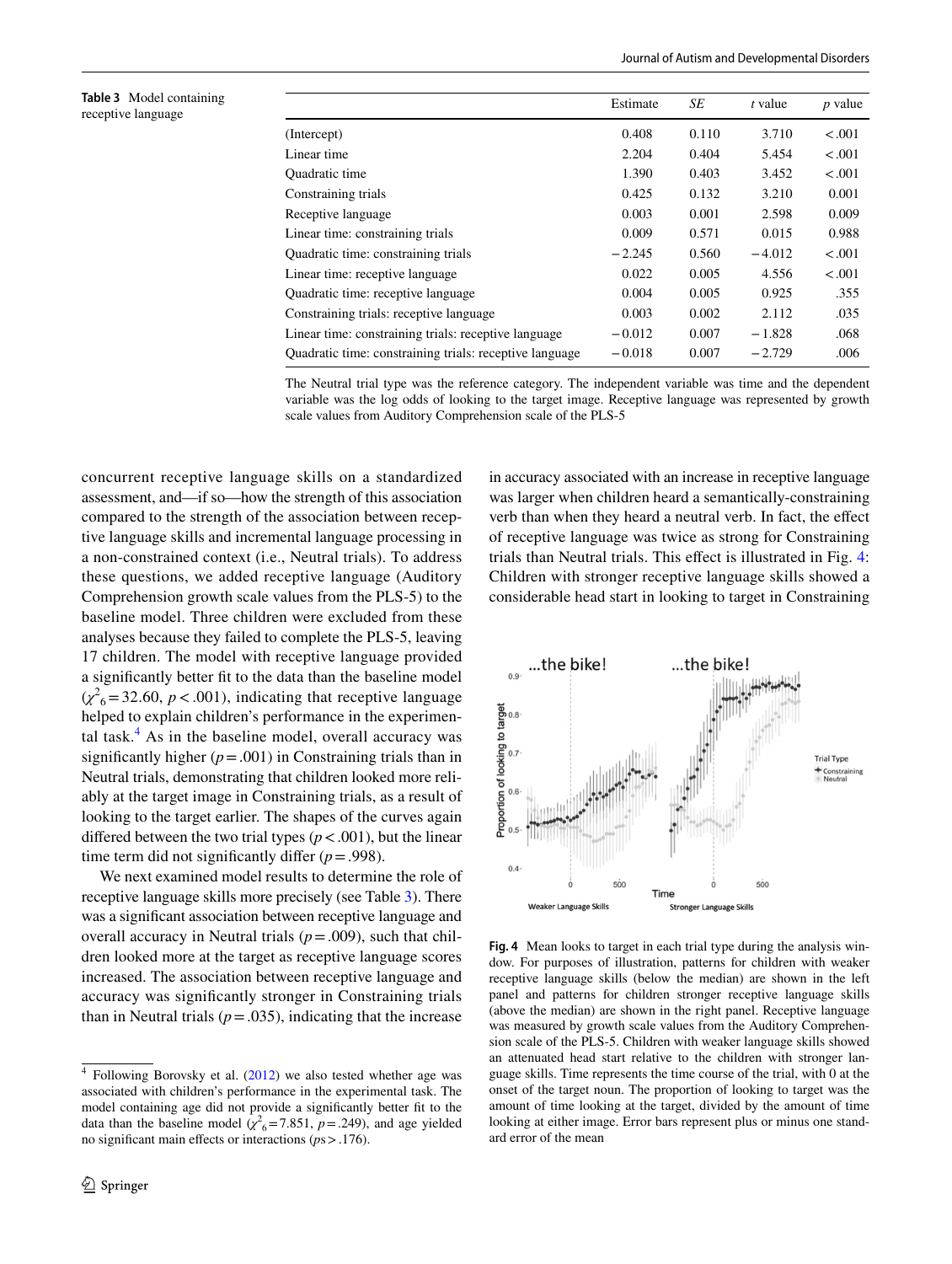<span id="page-7-1"></span>**Table 3** Model containing receptive language

|                                                         | Estimate | SE    | t value  | $p$ value |
|---------------------------------------------------------|----------|-------|----------|-----------|
| (Intercept)                                             | 0.408    | 0.110 | 3.710    | < .001    |
| Linear time                                             | 2.204    | 0.404 | 5.454    | < .001    |
| Quadratic time                                          | 1.390    | 0.403 | 3.452    | $-.001$   |
| Constraining trials                                     | 0.425    | 0.132 | 3.210    | 0.001     |
| Receptive language                                      | 0.003    | 0.001 | 2.598    | 0.009     |
| Linear time: constraining trials                        | 0.009    | 0.571 | 0.015    | 0.988     |
| Quadratic time: constraining trials                     | $-2.245$ | 0.560 | $-4.012$ | < .001    |
| Linear time: receptive language                         | 0.022    | 0.005 | 4.556    | $-.001$   |
| Quadratic time: receptive language                      | 0.004    | 0.005 | 0.925    | .355      |
| Constraining trials: receptive language                 | 0.003    | 0.002 | 2.112    | .035      |
| Linear time: constraining trials: receptive language    | $-0.012$ | 0.007 | $-1.828$ | .068      |
| Quadratic time: constraining trials: receptive language | $-0.018$ | 0.007 | $-2.729$ | .006      |

The Neutral trial type was the reference category. The independent variable was time and the dependent variable was the log odds of looking to the target image. Receptive language was represented by growth scale values from Auditory Comprehension scale of the PLS-5

concurrent receptive language skills on a standardized assessment, and—if so—how the strength of this association compared to the strength of the association between receptive language skills and incremental language processing in a non-constrained context (i.e., Neutral trials). To address these questions, we added receptive language (Auditory Comprehension growth scale values from the PLS-5) to the baseline model. Three children were excluded from these analyses because they failed to complete the PLS-5, leaving 17 children. The model with receptive language provided a significantly better fit to the data than the baseline model  $(\chi^2_{6} = 32.60, p < .001)$ , indicating that receptive language helped to explain children's performance in the experimental task. $<sup>4</sup>$  $<sup>4</sup>$  $<sup>4</sup>$  As in the baseline model, overall accuracy was</sup> significantly higher  $(p=.001)$  in Constraining trials than in Neutral trials, demonstrating that children looked more reliably at the target image in Constraining trials, as a result of looking to the target earlier. The shapes of the curves again differed between the two trial types ( $p < .001$ ), but the linear time term did not significantly differ  $(p=.998)$ .

We next examined model results to determine the role of receptive language skills more precisely (see Table [3](#page-7-1)). There was a significant association between receptive language and overall accuracy in Neutral trials  $(p=.009)$ , such that children looked more at the target as receptive language scores increased. The association between receptive language and accuracy was significantly stronger in Constraining trials than in Neutral trials ( $p = .035$ ), indicating that the increase in accuracy associated with an increase in receptive language was larger when children heard a semantically-constraining verb than when they heard a neutral verb. In fact, the effect of receptive language was twice as strong for Constraining trials than Neutral trials. This effect is illustrated in Fig. [4](#page-7-2): Children with stronger receptive language skills showed a considerable head start in looking to target in Constraining



<span id="page-7-2"></span>**Fig. 4** Mean looks to target in each trial type during the analysis window. For purposes of illustration, patterns for children with weaker receptive language skills (below the median) are shown in the left panel and patterns for children stronger receptive language skills (above the median) are shown in the right panel. Receptive language was measured by growth scale values from the Auditory Comprehension scale of the PLS-5. Children with weaker language skills showed an attenuated head start relative to the children with stronger language skills. Time represents the time course of the trial, with 0 at the onset of the target noun. The proportion of looking to target was the amount of time looking at the target, divided by the amount of time looking at either image. Error bars represent plus or minus one standard error of the mean

<span id="page-7-0"></span><sup>4</sup> Following Borovsky et al. [\(2012](#page-10-2)) we also tested whether age was associated with children's performance in the experimental task. The model containing age did not provide a significantly better fit to the data than the baseline model ( $\chi^2$ <sub>6</sub>=7.851, *p*=.249), and age yielded no significant main effects or interactions (*p*s>.176).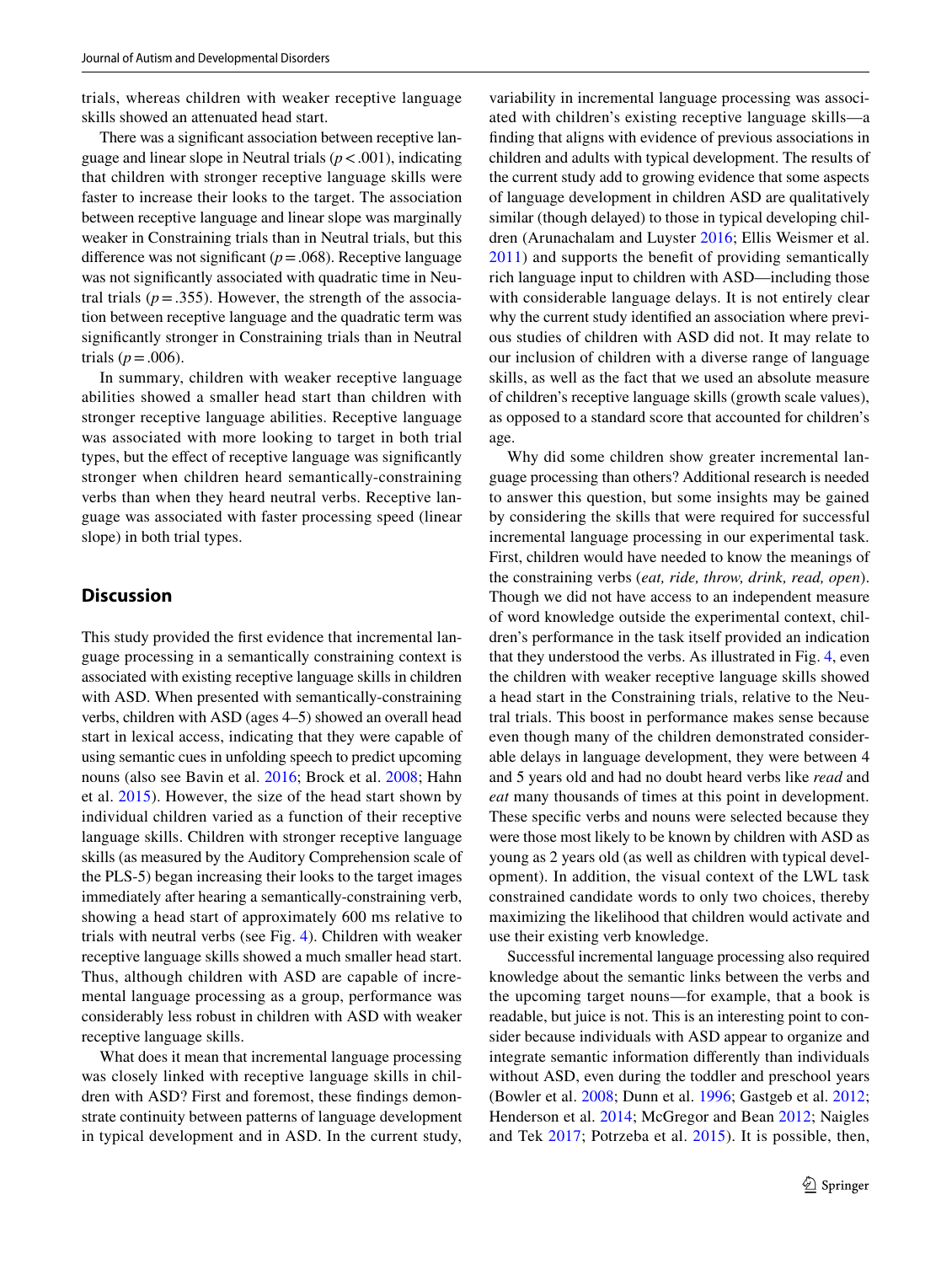trials, whereas children with weaker receptive language skills showed an attenuated head start.

There was a significant association between receptive language and linear slope in Neutral trials (*p*<.001), indicating that children with stronger receptive language skills were faster to increase their looks to the target. The association between receptive language and linear slope was marginally weaker in Constraining trials than in Neutral trials, but this difference was not significant  $(p=.068)$ . Receptive language was not significantly associated with quadratic time in Neutral trials ( $p = .355$ ). However, the strength of the association between receptive language and the quadratic term was significantly stronger in Constraining trials than in Neutral trials ( $p = .006$ ).

In summary, children with weaker receptive language abilities showed a smaller head start than children with stronger receptive language abilities. Receptive language was associated with more looking to target in both trial types, but the effect of receptive language was significantly stronger when children heard semantically-constraining verbs than when they heard neutral verbs. Receptive language was associated with faster processing speed (linear slope) in both trial types.

# **Discussion**

This study provided the first evidence that incremental language processing in a semantically constraining context is associated with existing receptive language skills in children with ASD. When presented with semantically-constraining verbs, children with ASD (ages 4–5) showed an overall head start in lexical access, indicating that they were capable of using semantic cues in unfolding speech to predict upcoming nouns (also see Bavin et al. [2016;](#page-10-3) Brock et al. [2008;](#page-10-4) Hahn et al. [2015\)](#page-11-5). However, the size of the head start shown by individual children varied as a function of their receptive language skills. Children with stronger receptive language skills (as measured by the Auditory Comprehension scale of the PLS-5) began increasing their looks to the target images immediately after hearing a semantically-constraining verb, showing a head start of approximately 600 ms relative to trials with neutral verbs (see Fig. [4\)](#page-7-2). Children with weaker receptive language skills showed a much smaller head start. Thus, although children with ASD are capable of incremental language processing as a group, performance was considerably less robust in children with ASD with weaker receptive language skills.

What does it mean that incremental language processing was closely linked with receptive language skills in children with ASD? First and foremost, these findings demonstrate continuity between patterns of language development in typical development and in ASD. In the current study,

variability in incremental language processing was associated with children's existing receptive language skills—a finding that aligns with evidence of previous associations in children and adults with typical development. The results of the current study add to growing evidence that some aspects of language development in children ASD are qualitatively similar (though delayed) to those in typical developing children (Arunachalam and Luyster [2016;](#page-10-16) Ellis Weismer et al. [2011\)](#page-10-17) and supports the benefit of providing semantically rich language input to children with ASD—including those with considerable language delays. It is not entirely clear why the current study identified an association where previous studies of children with ASD did not. It may relate to our inclusion of children with a diverse range of language skills, as well as the fact that we used an absolute measure of children's receptive language skills (growth scale values), as opposed to a standard score that accounted for children's age.

Why did some children show greater incremental language processing than others? Additional research is needed to answer this question, but some insights may be gained by considering the skills that were required for successful incremental language processing in our experimental task. First, children would have needed to know the meanings of the constraining verbs (*eat, ride, throw, drink, read, open*). Though we did not have access to an independent measure of word knowledge outside the experimental context, children's performance in the task itself provided an indication that they understood the verbs. As illustrated in Fig. [4,](#page-7-2) even the children with weaker receptive language skills showed a head start in the Constraining trials, relative to the Neutral trials. This boost in performance makes sense because even though many of the children demonstrated considerable delays in language development, they were between 4 and 5 years old and had no doubt heard verbs like *read* and *eat* many thousands of times at this point in development. These specific verbs and nouns were selected because they were those most likely to be known by children with ASD as young as 2 years old (as well as children with typical development). In addition, the visual context of the LWL task constrained candidate words to only two choices, thereby maximizing the likelihood that children would activate and use their existing verb knowledge.

Successful incremental language processing also required knowledge about the semantic links between the verbs and the upcoming target nouns—for example, that a book is readable, but juice is not. This is an interesting point to consider because individuals with ASD appear to organize and integrate semantic information differently than individuals without ASD, even during the toddler and preschool years (Bowler et al. [2008](#page-10-12); Dunn et al. [1996;](#page-10-18) Gastgeb et al. [2012](#page-11-25); Henderson et al. [2014;](#page-11-20) McGregor and Bean [2012;](#page-11-26) Naigles and Tek [2017;](#page-11-27) Potrzeba et al. [2015](#page-11-28)). It is possible, then,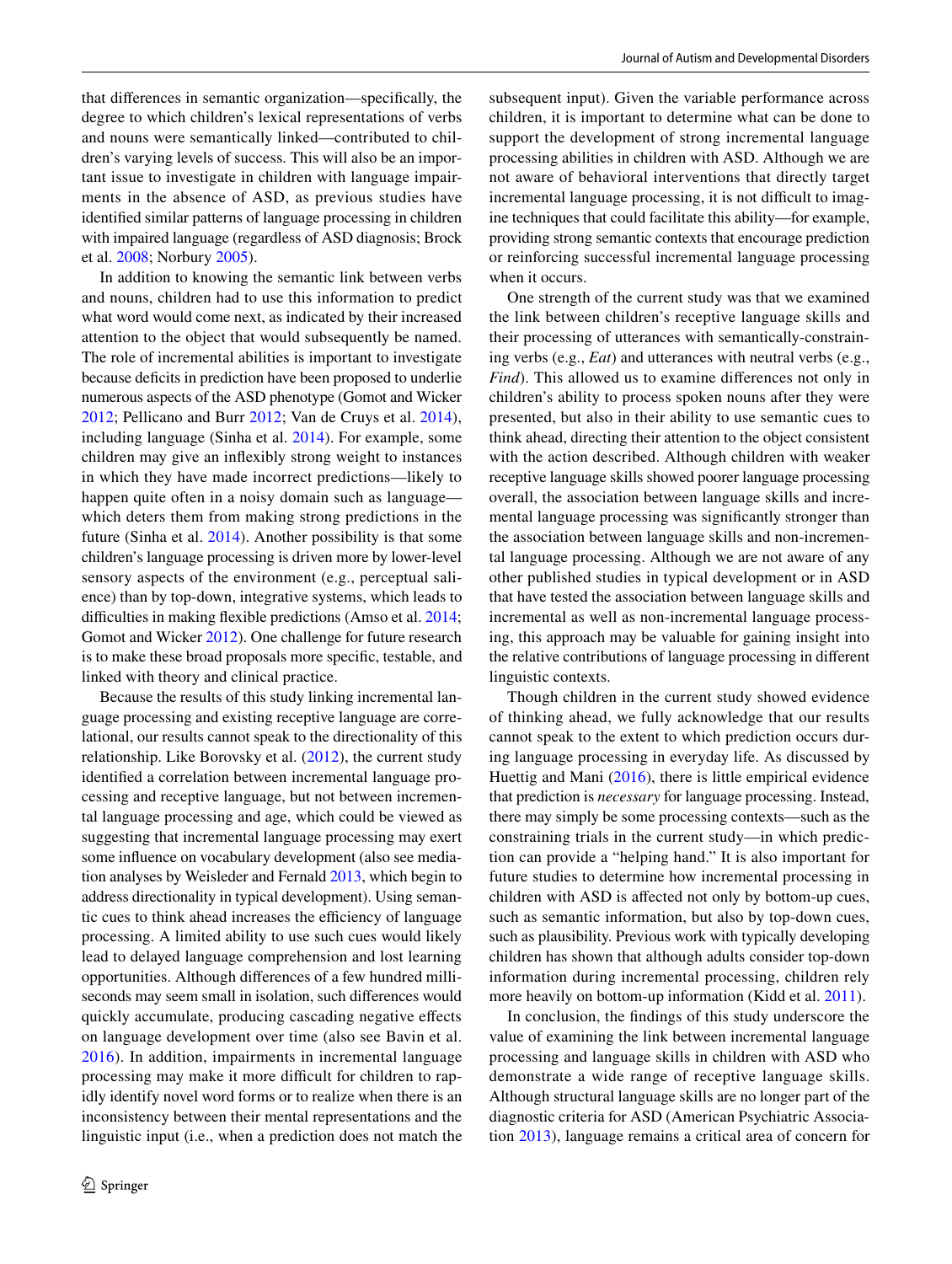that differences in semantic organization—specifically, the degree to which children's lexical representations of verbs and nouns were semantically linked—contributed to children's varying levels of success. This will also be an important issue to investigate in children with language impairments in the absence of ASD, as previous studies have identified similar patterns of language processing in children with impaired language (regardless of ASD diagnosis; Brock et al. [2008](#page-10-4); Norbury [2005](#page-11-29)).

In addition to knowing the semantic link between verbs and nouns, children had to use this information to predict what word would come next, as indicated by their increased attention to the object that would subsequently be named. The role of incremental abilities is important to investigate because deficits in prediction have been proposed to underlie numerous aspects of the ASD phenotype (Gomot and Wicker [2012](#page-11-30); Pellicano and Burr [2012](#page-11-31); Van de Cruys et al. [2014](#page-11-32)), including language (Sinha et al. [2014](#page-11-33)). For example, some children may give an inflexibly strong weight to instances in which they have made incorrect predictions—likely to happen quite often in a noisy domain such as language which deters them from making strong predictions in the future (Sinha et al. [2014](#page-11-33)). Another possibility is that some children's language processing is driven more by lower-level sensory aspects of the environment (e.g., perceptual salience) than by top-down, integrative systems, which leads to difficulties in making flexible predictions (Amso et al. [2014](#page-10-19); Gomot and Wicker [2012\)](#page-11-30). One challenge for future research is to make these broad proposals more specific, testable, and linked with theory and clinical practice.

Because the results of this study linking incremental language processing and existing receptive language are correlational, our results cannot speak to the directionality of this relationship. Like Borovsky et al. [\(2012](#page-10-2)), the current study identified a correlation between incremental language processing and receptive language, but not between incremental language processing and age, which could be viewed as suggesting that incremental language processing may exert some influence on vocabulary development (also see mediation analyses by Weisleder and Fernald [2013](#page-12-5), which begin to address directionality in typical development). Using semantic cues to think ahead increases the efficiency of language processing. A limited ability to use such cues would likely lead to delayed language comprehension and lost learning opportunities. Although differences of a few hundred milliseconds may seem small in isolation, such differences would quickly accumulate, producing cascading negative effects on language development over time (also see Bavin et al. [2016\)](#page-10-3). In addition, impairments in incremental language processing may make it more difficult for children to rapidly identify novel word forms or to realize when there is an inconsistency between their mental representations and the linguistic input (i.e., when a prediction does not match the subsequent input). Given the variable performance across children, it is important to determine what can be done to support the development of strong incremental language processing abilities in children with ASD. Although we are not aware of behavioral interventions that directly target incremental language processing, it is not difficult to imagine techniques that could facilitate this ability—for example, providing strong semantic contexts that encourage prediction or reinforcing successful incremental language processing when it occurs.

One strength of the current study was that we examined the link between children's receptive language skills and their processing of utterances with semantically-constraining verbs (e.g., *Eat*) and utterances with neutral verbs (e.g., *Find*). This allowed us to examine differences not only in children's ability to process spoken nouns after they were presented, but also in their ability to use semantic cues to think ahead, directing their attention to the object consistent with the action described. Although children with weaker receptive language skills showed poorer language processing overall, the association between language skills and incremental language processing was significantly stronger than the association between language skills and non-incremental language processing. Although we are not aware of any other published studies in typical development or in ASD that have tested the association between language skills and incremental as well as non-incremental language processing, this approach may be valuable for gaining insight into the relative contributions of language processing in different linguistic contexts.

Though children in the current study showed evidence of thinking ahead, we fully acknowledge that our results cannot speak to the extent to which prediction occurs during language processing in everyday life. As discussed by Huettig and Mani [\(2016](#page-11-12)), there is little empirical evidence that prediction is *necessary* for language processing. Instead, there may simply be some processing contexts—such as the constraining trials in the current study—in which prediction can provide a "helping hand." It is also important for future studies to determine how incremental processing in children with ASD is affected not only by bottom-up cues, such as semantic information, but also by top-down cues, such as plausibility. Previous work with typically developing children has shown that although adults consider top-down information during incremental processing, children rely more heavily on bottom-up information (Kidd et al. [2011](#page-11-34)).

In conclusion, the findings of this study underscore the value of examining the link between incremental language processing and language skills in children with ASD who demonstrate a wide range of receptive language skills. Although structural language skills are no longer part of the diagnostic criteria for ASD (American Psychiatric Association [2013](#page-10-20)), language remains a critical area of concern for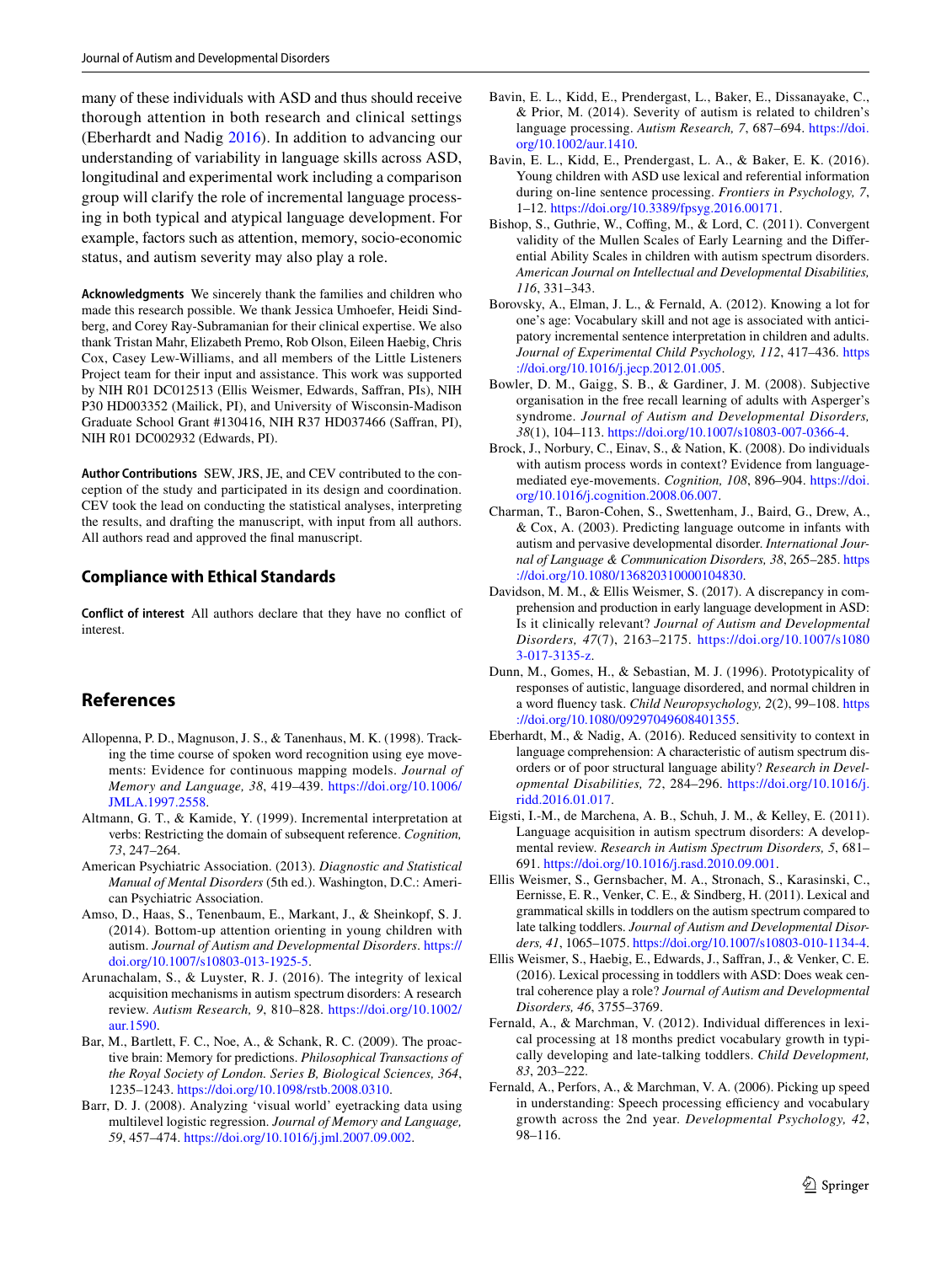many of these individuals with ASD and thus should receive thorough attention in both research and clinical settings (Eberhardt and Nadig [2016](#page-10-8)). In addition to advancing our understanding of variability in language skills across ASD, longitudinal and experimental work including a comparison group will clarify the role of incremental language processing in both typical and atypical language development. For example, factors such as attention, memory, socio-economic status, and autism severity may also play a role.

**Acknowledgments** We sincerely thank the families and children who made this research possible. We thank Jessica Umhoefer, Heidi Sindberg, and Corey Ray-Subramanian for their clinical expertise. We also thank Tristan Mahr, Elizabeth Premo, Rob Olson, Eileen Haebig, Chris Cox, Casey Lew-Williams, and all members of the Little Listeners Project team for their input and assistance. This work was supported by NIH R01 DC012513 (Ellis Weismer, Edwards, Saffran, PIs), NIH P30 HD003352 (Mailick, PI), and University of Wisconsin-Madison Graduate School Grant #130416, NIH R37 HD037466 (Saffran, PI), NIH R01 DC002932 (Edwards, PI).

**Author Contributions** SEW, JRS, JE, and CEV contributed to the conception of the study and participated in its design and coordination. CEV took the lead on conducting the statistical analyses, interpreting the results, and drafting the manuscript, with input from all authors. All authors read and approved the final manuscript.

# **Compliance with Ethical Standards**

**Conflict of interest** All authors declare that they have no conflict of interest.

# **References**

- <span id="page-10-0"></span>Allopenna, P. D., Magnuson, J. S., & Tanenhaus, M. K. (1998). Tracking the time course of spoken word recognition using eye movements: Evidence for continuous mapping models. *Journal of Memory and Language, 38*, 419–439. [https://doi.org/10.1006/](https://doi.org/10.1006/JMLA.1997.2558) [JMLA.1997.2558.](https://doi.org/10.1006/JMLA.1997.2558)
- <span id="page-10-1"></span>Altmann, G. T., & Kamide, Y. (1999). Incremental interpretation at verbs: Restricting the domain of subsequent reference. *Cognition, 73*, 247–264.
- <span id="page-10-20"></span>American Psychiatric Association. (2013). *Diagnostic and Statistical Manual of Mental Disorders* (5th ed.). Washington, D.C.: American Psychiatric Association.
- <span id="page-10-19"></span>Amso, D., Haas, S., Tenenbaum, E., Markant, J., & Sheinkopf, S. J. (2014). Bottom-up attention orienting in young children with autism. *Journal of Autism and Developmental Disorders*. [https://](https://doi.org/10.1007/s10803-013-1925-5) [doi.org/10.1007/s10803-013-1925-5](https://doi.org/10.1007/s10803-013-1925-5).
- <span id="page-10-16"></span>Arunachalam, S., & Luyster, R. J. (2016). The integrity of lexical acquisition mechanisms in autism spectrum disorders: A research review. *Autism Research, 9*, 810–828. [https://doi.org/10.1002/](https://doi.org/10.1002/aur.1590) [aur.1590.](https://doi.org/10.1002/aur.1590)
- <span id="page-10-7"></span>Bar, M., Bartlett, F. C., Noe, A., & Schank, R. C. (2009). The proactive brain: Memory for predictions. *Philosophical Transactions of the Royal Society of London. Series B, Biological Sciences, 364*, 1235–1243. [https://doi.org/10.1098/rstb.2008.0310.](https://doi.org/10.1098/rstb.2008.0310)
- <span id="page-10-14"></span>Barr, D. J. (2008). Analyzing 'visual world' eyetracking data using multilevel logistic regression. *Journal of Memory and Language, 59*, 457–474.<https://doi.org/10.1016/j.jml.2007.09.002>.
- <span id="page-10-15"></span>Bavin, E. L., Kidd, E., Prendergast, L., Baker, E., Dissanayake, C., & Prior, M. (2014). Severity of autism is related to children's language processing. *Autism Research, 7*, 687–694. [https://doi.](https://doi.org/10.1002/aur.1410) [org/10.1002/aur.1410](https://doi.org/10.1002/aur.1410).
- <span id="page-10-3"></span>Bavin, E. L., Kidd, E., Prendergast, L. A., & Baker, E. K. (2016). Young children with ASD use lexical and referential information during on-line sentence processing. *Frontiers in Psychology, 7*, 1–12. [https://doi.org/10.3389/fpsyg.2016.00171.](https://doi.org/10.3389/fpsyg.2016.00171)
- Bishop, S., Guthrie, W., Coffing, M., & Lord, C. (2011). Convergent validity of the Mullen Scales of Early Learning and the Differential Ability Scales in children with autism spectrum disorders. *American Journal on Intellectual and Developmental Disabilities, 116*, 331–343.
- <span id="page-10-2"></span>Borovsky, A., Elman, J. L., & Fernald, A. (2012). Knowing a lot for one's age: Vocabulary skill and not age is associated with anticipatory incremental sentence interpretation in children and adults. *Journal of Experimental Child Psychology, 112*, 417–436. [https](https://doi.org/10.1016/j.jecp.2012.01.005) [://doi.org/10.1016/j.jecp.2012.01.005.](https://doi.org/10.1016/j.jecp.2012.01.005)
- <span id="page-10-12"></span>Bowler, D. M., Gaigg, S. B., & Gardiner, J. M. (2008). Subjective organisation in the free recall learning of adults with Asperger's syndrome. *Journal of Autism and Developmental Disorders, 38*(1), 104–113.<https://doi.org/10.1007/s10803-007-0366-4>.
- <span id="page-10-4"></span>Brock, J., Norbury, C., Einav, S., & Nation, K. (2008). Do individuals with autism process words in context? Evidence from languagemediated eye-movements. *Cognition, 108*, 896–904. [https://doi.](https://doi.org/10.1016/j.cognition.2008.06.007) [org/10.1016/j.cognition.2008.06.007](https://doi.org/10.1016/j.cognition.2008.06.007).
- <span id="page-10-5"></span>Charman, T., Baron-Cohen, S., Swettenham, J., Baird, G., Drew, A., & Cox, A. (2003). Predicting language outcome in infants with autism and pervasive developmental disorder. *International Journal of Language & Communication Disorders, 38*, 265–285. [https](https://doi.org/10.1080/136820310000104830) [://doi.org/10.1080/136820310000104830.](https://doi.org/10.1080/136820310000104830)
- <span id="page-10-6"></span>Davidson, M. M., & Ellis Weismer, S. (2017). A discrepancy in comprehension and production in early language development in ASD: Is it clinically relevant? *Journal of Autism and Developmental Disorders, 47*(7), 2163–2175. [https://doi.org/10.1007/s1080](https://doi.org/10.1007/s10803-017-3135-z) [3-017-3135-z.](https://doi.org/10.1007/s10803-017-3135-z)
- <span id="page-10-18"></span>Dunn, M., Gomes, H., & Sebastian, M. J. (1996). Prototypicality of responses of autistic, language disordered, and normal children in a word fluency task. *Child Neuropsychology, 2*(2), 99–108. [https](https://doi.org/10.1080/09297049608401355) [://doi.org/10.1080/09297049608401355.](https://doi.org/10.1080/09297049608401355)
- <span id="page-10-8"></span>Eberhardt, M., & Nadig, A. (2016). Reduced sensitivity to context in language comprehension: A characteristic of autism spectrum disorders or of poor structural language ability? *Research in Developmental Disabilities, 72*, 284–296. [https://doi.org/10.1016/j.](https://doi.org/10.1016/j.ridd.2016.01.017) [ridd.2016.01.017](https://doi.org/10.1016/j.ridd.2016.01.017).
- <span id="page-10-11"></span>Eigsti, I.-M., de Marchena, A. B., Schuh, J. M., & Kelley, E. (2011). Language acquisition in autism spectrum disorders: A developmental review. *Research in Autism Spectrum Disorders, 5*, 681– 691.<https://doi.org/10.1016/j.rasd.2010.09.001>.
- <span id="page-10-17"></span>Ellis Weismer, S., Gernsbacher, M. A., Stronach, S., Karasinski, C., Eernisse, E. R., Venker, C. E., & Sindberg, H. (2011). Lexical and grammatical skills in toddlers on the autism spectrum compared to late talking toddlers. *Journal of Autism and Developmental Disorders, 41*, 1065–1075.<https://doi.org/10.1007/s10803-010-1134-4>.
- <span id="page-10-13"></span>Ellis Weismer, S., Haebig, E., Edwards, J., Saffran, J., & Venker, C. E. (2016). Lexical processing in toddlers with ASD: Does weak central coherence play a role? *Journal of Autism and Developmental Disorders, 46*, 3755–3769.
- <span id="page-10-9"></span>Fernald, A., & Marchman, V. (2012). Individual differences in lexical processing at 18 months predict vocabulary growth in typically developing and late-talking toddlers. *Child Development, 83*, 203–222.
- <span id="page-10-10"></span>Fernald, A., Perfors, A., & Marchman, V. A. (2006). Picking up speed in understanding: Speech processing efficiency and vocabulary growth across the 2nd year. *Developmental Psychology, 42*, 98–116.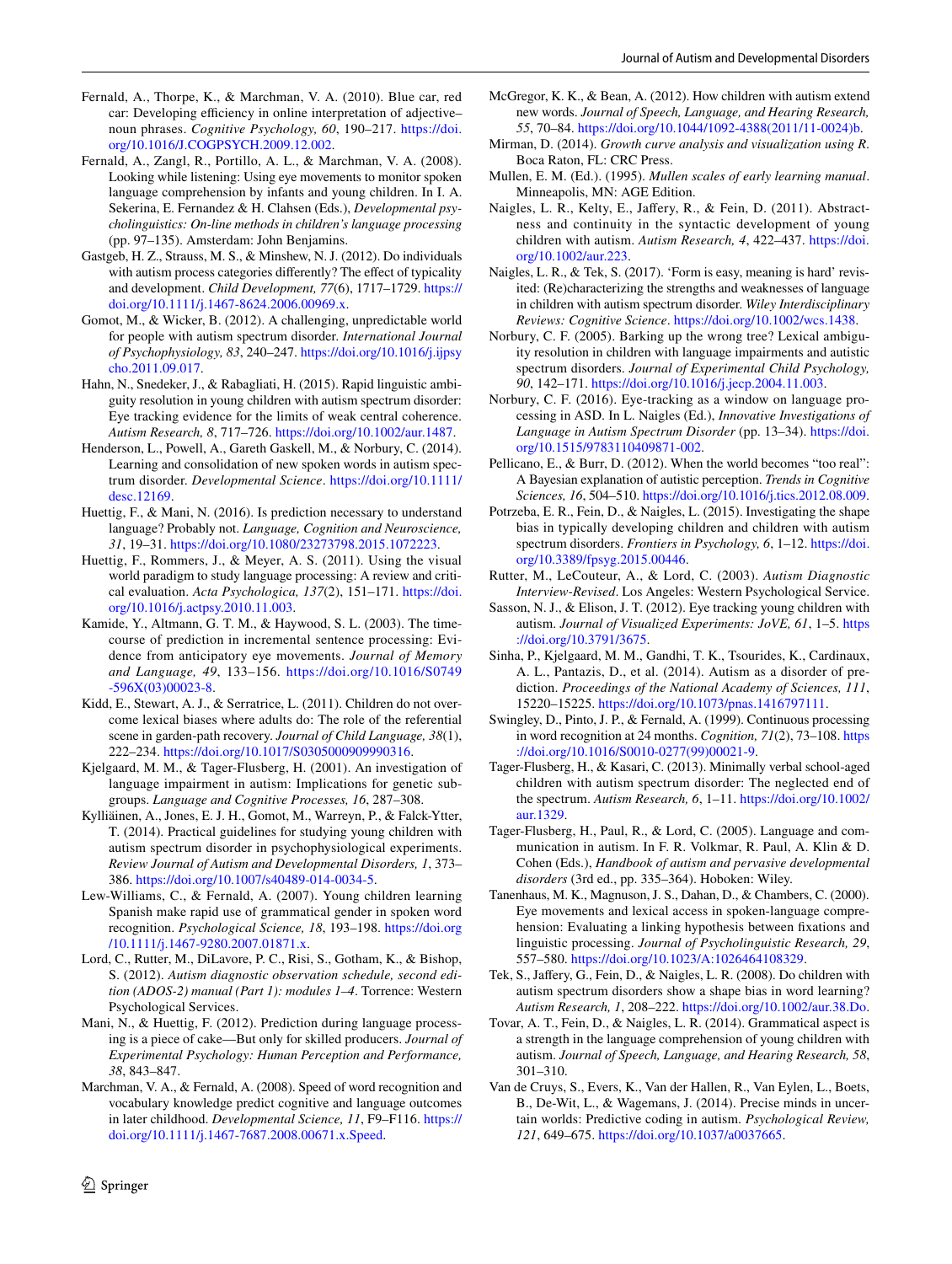- <span id="page-11-2"></span>Fernald, A., Thorpe, K., & Marchman, V. A. (2010). Blue car, red car: Developing efficiency in online interpretation of adjective– noun phrases. *Cognitive Psychology, 60*, 190–217. [https://doi.](https://doi.org/10.1016/J.COGPSYCH.2009.12.002) [org/10.1016/J.COGPSYCH.2009.12.002.](https://doi.org/10.1016/J.COGPSYCH.2009.12.002)
- <span id="page-11-9"></span>Fernald, A., Zangl, R., Portillo, A. L., & Marchman, V. A. (2008). Looking while listening: Using eye movements to monitor spoken language comprehension by infants and young children. In I. A. Sekerina, E. Fernandez & H. Clahsen (Eds.), *Developmental psycholinguistics: On-line methods in children's language processing* (pp. 97–135). Amsterdam: John Benjamins.
- <span id="page-11-25"></span>Gastgeb, H. Z., Strauss, M. S., & Minshew, N. J. (2012). Do individuals with autism process categories differently? The effect of typicality and development. *Child Development, 77*(6), 1717–1729. [https://](https://doi.org/10.1111/j.1467-8624.2006.00969.x) [doi.org/10.1111/j.1467-8624.2006.00969.x](https://doi.org/10.1111/j.1467-8624.2006.00969.x).
- <span id="page-11-30"></span>Gomot, M., & Wicker, B. (2012). A challenging, unpredictable world for people with autism spectrum disorder. *International Journal of Psychophysiology, 83*, 240–247. [https://doi.org/10.1016/j.ijpsy](https://doi.org/10.1016/j.ijpsycho.2011.09.017) [cho.2011.09.017](https://doi.org/10.1016/j.ijpsycho.2011.09.017).
- <span id="page-11-5"></span>Hahn, N., Snedeker, J., & Rabagliati, H. (2015). Rapid linguistic ambiguity resolution in young children with autism spectrum disorder: Eye tracking evidence for the limits of weak central coherence. *Autism Research, 8*, 717–726.<https://doi.org/10.1002/aur.1487>.
- <span id="page-11-20"></span>Henderson, L., Powell, A., Gareth Gaskell, M., & Norbury, C. (2014). Learning and consolidation of new spoken words in autism spectrum disorder. *Developmental Science*. [https://doi.org/10.1111/](https://doi.org/10.1111/desc.12169) [desc.12169.](https://doi.org/10.1111/desc.12169)
- <span id="page-11-12"></span>Huettig, F., & Mani, N. (2016). Is prediction necessary to understand language? Probably not. *Language, Cognition and Neuroscience, 31*, 19–31. [https://doi.org/10.1080/23273798.2015.1072223.](https://doi.org/10.1080/23273798.2015.1072223)
- <span id="page-11-10"></span>Huettig, F., Rommers, J., & Meyer, A. S. (2011). Using the visual world paradigm to study language processing: A review and critical evaluation. *Acta Psychologica, 137*(2), 151–171. [https://doi.](https://doi.org/10.1016/j.actpsy.2010.11.003) [org/10.1016/j.actpsy.2010.11.003](https://doi.org/10.1016/j.actpsy.2010.11.003).
- <span id="page-11-3"></span>Kamide, Y., Altmann, G. T. M., & Haywood, S. L. (2003). The timecourse of prediction in incremental sentence processing: Evidence from anticipatory eye movements. *Journal of Memory and Language, 49*, 133–156. [https://doi.org/10.1016/S0749](https://doi.org/10.1016/S0749-596X(03)00023-8) [-596X\(03\)00023-8.](https://doi.org/10.1016/S0749-596X(03)00023-8)
- <span id="page-11-34"></span>Kidd, E., Stewart, A. J., & Serratrice, L. (2011). Children do not overcome lexical biases where adults do: The role of the referential scene in garden-path recovery. *Journal of Child Language, 38*(1), 222–234. [https://doi.org/10.1017/S0305000909990316.](https://doi.org/10.1017/S0305000909990316)
- <span id="page-11-7"></span>Kjelgaard, M. M., & Tager-Flusberg, H. (2001). An investigation of language impairment in autism: Implications for genetic subgroups. *Language and Cognitive Processes, 16*, 287–308.
- <span id="page-11-17"></span>Kylliäinen, A., Jones, E. J. H., Gomot, M., Warreyn, P., & Falck-Ytter, T. (2014). Practical guidelines for studying young children with autism spectrum disorder in psychophysiological experiments. *Review Journal of Autism and Developmental Disorders, 1*, 373– 386.<https://doi.org/10.1007/s40489-014-0034-5>.
- <span id="page-11-1"></span>Lew-Williams, C., & Fernald, A. (2007). Young children learning Spanish make rapid use of grammatical gender in spoken word recognition. *Psychological Science, 18*, 193–198. [https://doi.org](https://doi.org/10.1111/j.1467-9280.2007.01871.x) [/10.1111/j.1467-9280.2007.01871.x.](https://doi.org/10.1111/j.1467-9280.2007.01871.x)
- <span id="page-11-22"></span>Lord, C., Rutter, M., DiLavore, P. C., Risi, S., Gotham, K., & Bishop, S. (2012). *Autism diagnostic observation schedule, second edition (ADOS-2) manual (Part 1): modules 1–4*. Torrence: Western Psychological Services.
- <span id="page-11-4"></span>Mani, N., & Huettig, F. (2012). Prediction during language processing is a piece of cake—But only for skilled producers. *Journal of Experimental Psychology: Human Perception and Performance, 38*, 843–847.
- <span id="page-11-15"></span>Marchman, V. A., & Fernald, A. (2008). Speed of word recognition and vocabulary knowledge predict cognitive and language outcomes in later childhood. *Developmental Science, 11*, F9–F116. [https://](https://doi.org/10.1111/j.1467-7687.2008.00671.x.Speed) [doi.org/10.1111/j.1467-7687.2008.00671.x.Speed.](https://doi.org/10.1111/j.1467-7687.2008.00671.x.Speed)
- <span id="page-11-26"></span>McGregor, K. K., & Bean, A. (2012). How children with autism extend new words. *Journal of Speech, Language, and Hearing Research, 55*, 70–84. [https://doi.org/10.1044/1092-4388\(2011/11-0024\)b](https://doi.org/10.1044/1092-4388(2011/11-0024)b).
- <span id="page-11-24"></span>Mirman, D. (2014). *Growth curve analysis and visualization using R*. Boca Raton, FL: CRC Press.
- <span id="page-11-23"></span>Mullen, E. M. (Ed.). (1995). *Mullen scales of early learning manual*. Minneapolis, MN: AGE Edition.
- <span id="page-11-13"></span>Naigles, L. R., Kelty, E., Jaffery, R., & Fein, D. (2011). Abstractness and continuity in the syntactic development of young children with autism. *Autism Research, 4*, 422–437. [https://doi.](https://doi.org/10.1002/aur.223) [org/10.1002/aur.223.](https://doi.org/10.1002/aur.223)
- <span id="page-11-27"></span>Naigles, L. R., & Tek, S. (2017). 'Form is easy, meaning is hard' revisited: (Re)characterizing the strengths and weaknesses of language in children with autism spectrum disorder. *Wiley Interdisciplinary Reviews: Cognitive Science*. <https://doi.org/10.1002/wcs.1438>.
- <span id="page-11-29"></span>Norbury, C. F. (2005). Barking up the wrong tree? Lexical ambiguity resolution in children with language impairments and autistic spectrum disorders. *Journal of Experimental Child Psychology, 90*, 142–171.<https://doi.org/10.1016/j.jecp.2004.11.003>.
- <span id="page-11-18"></span>Norbury, C. F. (2016). Eye-tracking as a window on language processing in ASD. In L. Naigles (Ed.), *Innovative Investigations of Language in Autism Spectrum Disorder* (pp. 13–34). [https://doi.](https://doi.org/10.1515/9783110409871-002) [org/10.1515/9783110409871-002.](https://doi.org/10.1515/9783110409871-002)
- <span id="page-11-31"></span>Pellicano, E., & Burr, D. (2012). When the world becomes "too real": A Bayesian explanation of autistic perception. *Trends in Cognitive Sciences, 16*, 504–510.<https://doi.org/10.1016/j.tics.2012.08.009>.
- <span id="page-11-28"></span>Potrzeba, E. R., Fein, D., & Naigles, L. (2015). Investigating the shape bias in typically developing children and children with autism spectrum disorders. *Frontiers in Psychology, 6*, 1–12. [https://doi.](https://doi.org/10.3389/fpsyg.2015.00446) [org/10.3389/fpsyg.2015.00446](https://doi.org/10.3389/fpsyg.2015.00446).
- <span id="page-11-21"></span>Rutter, M., LeCouteur, A., & Lord, C. (2003). *Autism Diagnostic Interview-Revised*. Los Angeles: Western Psychological Service.
- <span id="page-11-19"></span>Sasson, N. J., & Elison, J. T. (2012). Eye tracking young children with autism. *Journal of Visualized Experiments: JoVE, 61*, 1–5. [https](https://doi.org/10.3791/3675) [://doi.org/10.3791/3675.](https://doi.org/10.3791/3675)
- <span id="page-11-33"></span>Sinha, P., Kjelgaard, M. M., Gandhi, T. K., Tsourides, K., Cardinaux, A. L., Pantazis, D., et al. (2014). Autism as a disorder of prediction. *Proceedings of the National Academy of Sciences, 111*, 15220–15225. [https://doi.org/10.1073/pnas.1416797111.](https://doi.org/10.1073/pnas.1416797111)
- <span id="page-11-0"></span>Swingley, D., Pinto, J. P., & Fernald, A. (1999). Continuous processing in word recognition at 24 months. *Cognition, 71*(2), 73–108. [https](https://doi.org/10.1016/S0010-0277(99)00021-9) [://doi.org/10.1016/S0010-0277\(99\)00021-9.](https://doi.org/10.1016/S0010-0277(99)00021-9)
- <span id="page-11-16"></span>Tager-Flusberg, H., & Kasari, C. (2013). Minimally verbal school-aged children with autism spectrum disorder: The neglected end of the spectrum. *Autism Research, 6*, 1–11. [https://doi.org/10.1002/](https://doi.org/10.1002/aur.1329) [aur.1329](https://doi.org/10.1002/aur.1329).
- <span id="page-11-8"></span>Tager-Flusberg, H., Paul, R., & Lord, C. (2005). Language and communication in autism. In F. R. Volkmar, R. Paul, A. Klin & D. Cohen (Eds.), *Handbook of autism and pervasive developmental disorders* (3rd ed., pp. 335–364). Hoboken: Wiley.
- <span id="page-11-11"></span>Tanenhaus, M. K., Magnuson, J. S., Dahan, D., & Chambers, C. (2000). Eye movements and lexical access in spoken-language comprehension: Evaluating a linking hypothesis between fixations and linguistic processing. *Journal of Psycholinguistic Research, 29*, 557–580. [https://doi.org/10.1023/A:1026464108329.](https://doi.org/10.1023/A:1026464108329)
- <span id="page-11-6"></span>Tek, S., Jaffery, G., Fein, D., & Naigles, L. R. (2008). Do children with autism spectrum disorders show a shape bias in word learning? *Autism Research, 1*, 208–222.<https://doi.org/10.1002/aur.38.Do>.
- <span id="page-11-14"></span>Tovar, A. T., Fein, D., & Naigles, L. R. (2014). Grammatical aspect is a strength in the language comprehension of young children with autism. *Journal of Speech, Language, and Hearing Research, 58*, 301–310.
- <span id="page-11-32"></span>Van de Cruys, S., Evers, K., Van der Hallen, R., Van Eylen, L., Boets, B., De-Wit, L., & Wagemans, J. (2014). Precise minds in uncertain worlds: Predictive coding in autism. *Psychological Review, 121*, 649–675. [https://doi.org/10.1037/a0037665.](https://doi.org/10.1037/a0037665)